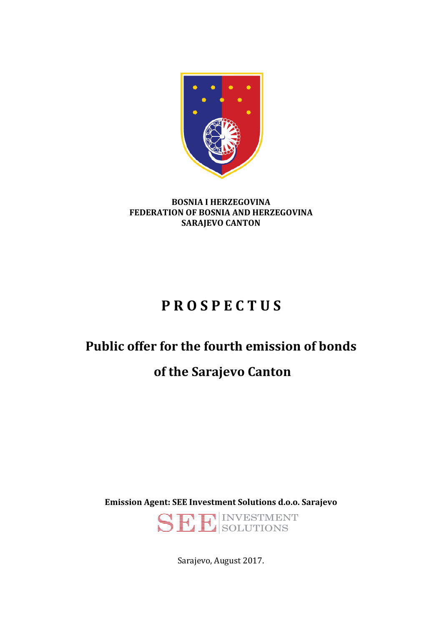

#### **BOSNIA I HERZEGOVINA FEDERATION OF BOSNIA AND HERZEGOVINA SARAJEVO CANTON**

# **P R O S P E C T U S**

# **Public offer for the fourth emission of bonds**

# **of the Sarajevo Canton**

**Emission Agent: SEE Investment Solutions d.o.o. Sarajevo** 

SEINSOLUTIONS

Sarajevo, August 2017.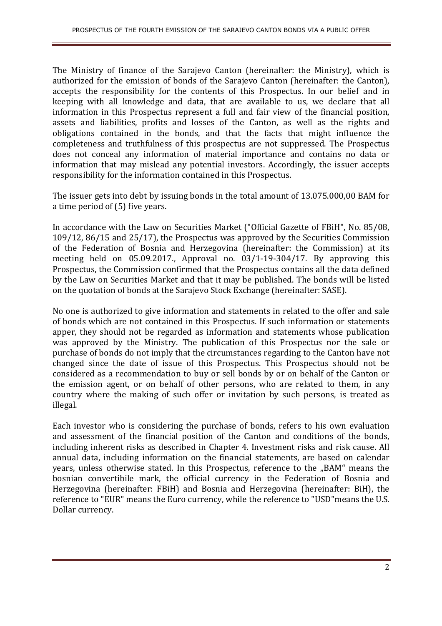The Ministry of finance of the Sarajevo Canton (hereinafter: the Ministry), which is authorized for the emission of bonds of the Sarajevo Canton (hereinafter: the Canton), accepts the responsibility for the contents of this Prospectus. In our belief and in keeping with all knowledge and data, that are available to us, we declare that all information in this Prospectus represent a full and fair view of the financial position, assets and liabilities, profits and losses of the Canton, as well as the rights and obligations contained in the bonds, and that the facts that might influence the completeness and truthfulness of this prospectus are not suppressed. The Prospectus does not conceal any information of material importance and contains no data or information that may mislead any potential investors. Accordingly, the issuer accepts responsibility for the information contained in this Prospectus.

The issuer gets into debt by issuing bonds in the total amount of 13.075.000,00 BAM for a time period of (5) five years.

In accordance with the Law on Securities Market ("Official Gazette of FBiH", No. 85/08, 109/12, 86/15 and 25/17), the Prospectus was approved by the Securities Commission of the Federation of Bosnia and Herzegovina (hereinafter: the Commission) at its meeting held on 05.09.2017., Approval no. 03/1-19-304/17. By approving this Prospectus, the Commission confirmed that the Prospectus contains all the data defined by the Law on Securities Market and that it may be published. The bonds will be listed on the quotation of bonds at the Sarajevo Stock Exchange (hereinafter: SASE).

No one is authorized to give information and statements in related to the offer and sale of bonds which are not contained in this Prospectus. If such information or statements apper, they should not be regarded as information and statements whose publication was approved by the Ministry. The publication of this Prospectus nor the sale or purchase of bonds do not imply that the circumstances regarding to the Canton have not changed since the date of issue of this Prospectus. This Prospectus should not be considered as a recommendation to buy or sell bonds by or on behalf of the Canton or the emission agent, or on behalf of other persons, who are related to them, in any country where the making of such offer or invitation by such persons, is treated as illegal.

Each investor who is considering the purchase of bonds, refers to his own evaluation and assessment of the financial position of the Canton and conditions of the bonds, including inherent risks as described in Chapter 4. Investment risks and risk cause. All annual data, including information on the financial statements, are based on calendar years, unless otherwise stated. In this Prospectus, reference to the "BAM" means the bosnian convertibile mark, the official currency in the Federation of Bosnia and Herzegovina (hereinafter: FBiH) and Bosnia and Herzegovina (hereinafter: BiH), the reference to "EUR" means the Euro currency, while the reference to "USD"means the U.S. Dollar currency.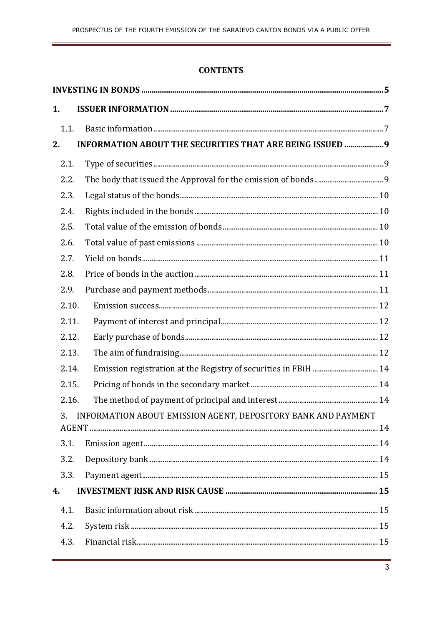### **CONTENTS**

| 1.    |       |                                                                  |  |
|-------|-------|------------------------------------------------------------------|--|
| 1.1.  |       |                                                                  |  |
| 2.    |       | <b>INFORMATION ABOUT THE SECURITIES THAT ARE BEING ISSUED  9</b> |  |
| 2.1.  |       |                                                                  |  |
| 2.2.  |       |                                                                  |  |
| 2.3.  |       |                                                                  |  |
| 2.4.  |       |                                                                  |  |
| 2.5.  |       |                                                                  |  |
| 2.6.  |       |                                                                  |  |
| 2.7.  |       |                                                                  |  |
| 2.8.  |       |                                                                  |  |
| 2.9.  |       |                                                                  |  |
|       | 2.10. |                                                                  |  |
|       | 2.11. |                                                                  |  |
|       | 2.12. |                                                                  |  |
|       | 2.13. |                                                                  |  |
|       | 2.14. | Emission registration at the Registry of securities in FBiH  14  |  |
| 2.15. |       |                                                                  |  |
| 2.16. |       |                                                                  |  |
|       |       | 3. INFORMATION ABOUT EMISSION AGENT, DEPOSITORY BANK AND PAYMENT |  |
| 3.1.  |       |                                                                  |  |
| 3.2.  |       |                                                                  |  |
| 3.3.  |       |                                                                  |  |
| 4.    |       |                                                                  |  |
| 4.1.  |       |                                                                  |  |
| 4.2.  |       |                                                                  |  |
| 4.3.  |       |                                                                  |  |
|       |       |                                                                  |  |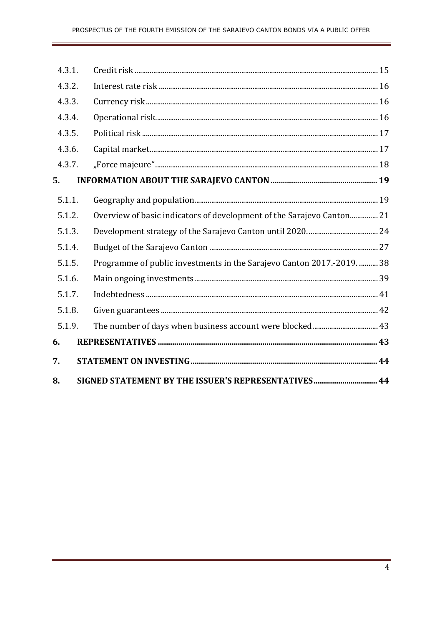| 4.3.1. |                                                                        |  |
|--------|------------------------------------------------------------------------|--|
| 4.3.2. |                                                                        |  |
| 4.3.3. |                                                                        |  |
| 4.3.4. |                                                                        |  |
| 4.3.5. |                                                                        |  |
| 4.3.6. |                                                                        |  |
| 4.3.7. |                                                                        |  |
| 5.     |                                                                        |  |
| 5.1.1. |                                                                        |  |
| 5.1.2. | Overview of basic indicators of development of the Sarajevo Canton 21  |  |
| 5.1.3. |                                                                        |  |
| 5.1.4. |                                                                        |  |
| 5.1.5. | Programme of public investments in the Sarajevo Canton 2017.-2019.  38 |  |
| 5.1.6. |                                                                        |  |
| 5.1.7. |                                                                        |  |
| 5.1.8. |                                                                        |  |
| 5.1.9. |                                                                        |  |
| 6.     |                                                                        |  |
| 7.     |                                                                        |  |
| 8.     | SIGNED STATEMENT BY THE ISSUER'S REPRESENTATIVES 44                    |  |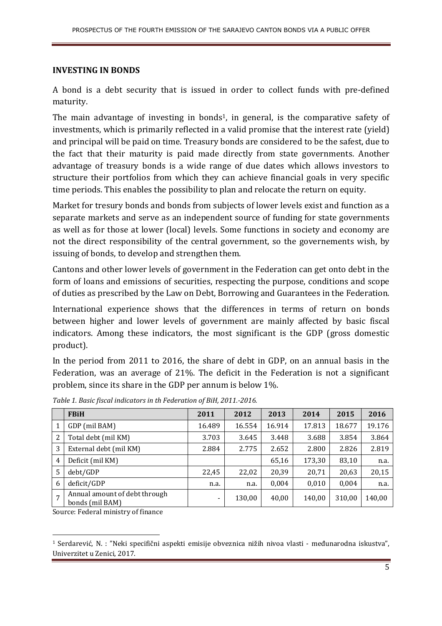#### **INVESTING IN BONDS**

A bond is a debt security that is issued in order to collect funds with pre-defined maturity.

The main advantage of investing in bonds<sup>1</sup>, in general, is the comparative safety of investments, which is primarily reflected in a valid promise that the interest rate (yield) and principal will be paid on time. Treasury bonds are considered to be the safest, due to the fact that their maturity is paid made directly from state governments. Another advantage of treasury bonds is a wide range of due dates which allows investors to structure their portfolios from which they can achieve financial goals in very specific time periods. This enables the possibility to plan and relocate the return on equity.

Market for tresury bonds and bonds from subjects of lower levels exist and function as a separate markets and serve as an independent source of funding for state governments as well as for those at lower (local) levels. Some functions in society and economy are not the direct responsibility of the central government, so the governements wish, by issuing of bonds, to develop and strengthen them.

Cantons and other lower levels of government in the Federation can get onto debt in the form of loans and emissions of securities, respecting the purpose, conditions and scope of duties as prescribed by the Law on Debt, Borrowing and Guarantees in the Federation.

International experience shows that the differences in terms of return on bonds between higher and lower levels of government are mainly affected by basic fiscal indicators. Among these indicators, the most significant is the GDP (gross domestic product).

In the period from 2011 to 2016, the share of debt in GDP, on an annual basis in the Federation, was an average of 21%. The deficit in the Federation is not a significant problem, since its share in the GDP per annum is below 1%.

|   | <b>FBiH</b>                                      | 2011   | 2012   | 2013   | 2014   | 2015   | 2016   |
|---|--------------------------------------------------|--------|--------|--------|--------|--------|--------|
|   | GDP (mil BAM)                                    | 16.489 | 16.554 | 16.914 | 17.813 | 18.677 | 19.176 |
| 2 | Total debt (mil KM)                              | 3.703  | 3.645  | 3.448  | 3.688  | 3.854  | 3.864  |
| 3 | External debt (mil KM)                           | 2.884  | 2.775  | 2.652  | 2.800  | 2.826  | 2.819  |
| 4 | Deficit (mil KM)                                 |        |        | 65,16  | 173,30 | 83,10  | n.a.   |
| 5 | debt/GDP                                         | 22,45  | 22,02  | 20,39  | 20,71  | 20,63  | 20,15  |
| 6 | deficit/GDP                                      | n.a.   | n.a.   | 0,004  | 0,010  | 0.004  | n.a.   |
| 7 | Annual amount of debt through<br>bonds (mil BAM) |        | 130,00 | 40,00  | 140,00 | 310,00 | 140,00 |

*Table 1. Basic fiscal indicators in th Federation of BiH, 2011.-2016.* 

Source: Federal ministry of finance

l

<sup>1</sup> Serdarević, N. : "Neki specifični aspekti emisije obveznica nižih nivoa vlasti - međunarodna iskustva", Univerzitet u Zenici, 2017.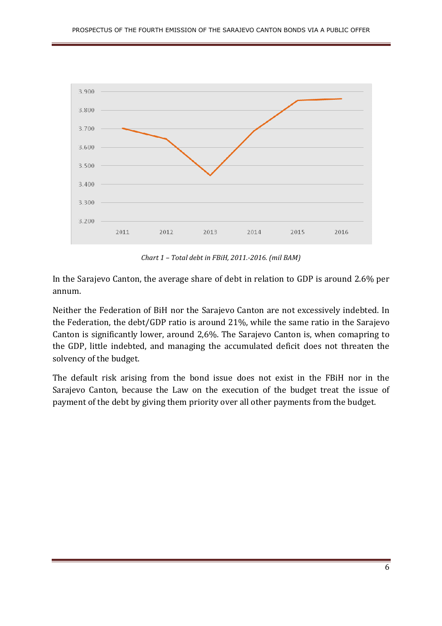

*Chart 1 – Total debt in FBiH, 2011.-2016. (mil BAM)*

In the Sarajevo Canton, the average share of debt in relation to GDP is around 2.6% per annum.

Neither the Federation of BiH nor the Sarajevo Canton are not excessively indebted. In the Federation, the debt/GDP ratio is around 21%, while the same ratio in the Sarajevo Canton is significantly lower, around 2,6%. The Sarajevo Canton is, when comapring to the GDP, little indebted, and managing the accumulated deficit does not threaten the solvency of the budget.

The default risk arising from the bond issue does not exist in the FBiH nor in the Sarajevo Canton, because the Law on the execution of the budget treat the issue of payment of the debt by giving them priority over all other payments from the budget.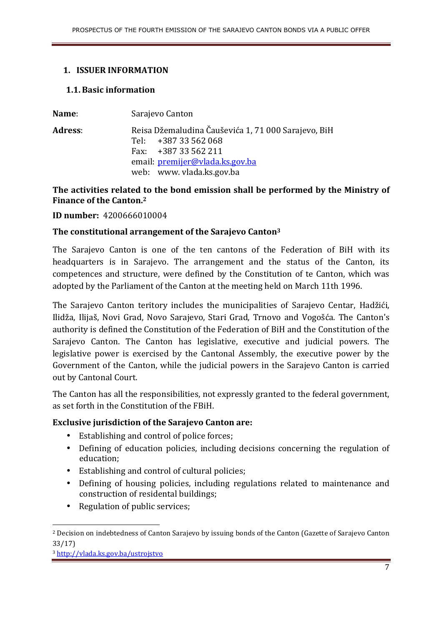#### **1. ISSUER INFORMATION**

#### **1.1.Basic information**

| Name:          | Sarajevo Canton                                                                                                                                                   |
|----------------|-------------------------------------------------------------------------------------------------------------------------------------------------------------------|
| <b>Adress:</b> | Reisa Džemaludina Čauševića 1, 71 000 Sarajevo, BiH<br>Tel: $+38733562068$<br>Fax: $+38733562211$<br>email: premijer@vlada.ks.gov.ba<br>web: www. vlada.ks.gov.ba |

### **The activities related to the bond emission shall be performed by the Ministry of Finance of the Canton.<sup>2</sup>**

**ID number:** 4200666010004

#### **The constitutional arrangement of the Sarajevo Canton<sup>3</sup>**

The Sarajevo Canton is one of the ten cantons of the Federation of BiH with its headquarters is in Sarajevo. The arrangement and the status of the Canton, its competences and structure, were defined by the Constitution of te Canton, which was adopted by the Parliament of the Canton at the meeting held on March 11th 1996.

The Sarajevo Canton teritory includes the municipalities of Sarajevo Centar, Hadžići, Ilidža, Ilijaš, Novi Grad, Novo Sarajevo, Stari Grad, Trnovo and Vogošća. The Canton's authority is defined the Constitution of the Federation of BiH and the Constitution of the Sarajevo Canton. The Canton has legislative, executive and judicial powers. The legislative power is exercised by the Cantonal Assembly, the executive power by the Government of the Canton, while the judicial powers in the Sarajevo Canton is carried out by Cantonal Court.

The Canton has all the responsibilities, not expressly granted to the federal government, as set forth in the Constitution of the FBiH.

#### **Exclusive jurisdiction of the Sarajevo Canton are:**

- Establishing and control of police forces;
- Defining of education policies, including decisions concerning the regulation of education;
- Establishing and control of cultural policies;
- Defining of housing policies, including regulations related to maintenance and construction of residental buildings;
- Regulation of public services;

<sup>3</sup> http://vlada.ks.gov.ba/ustrojstvo

<sup>2</sup> Decision on indebtedness of Canton Sarajevo by issuing bonds of the Canton (Gazette of Sarajevo Canton 33/17)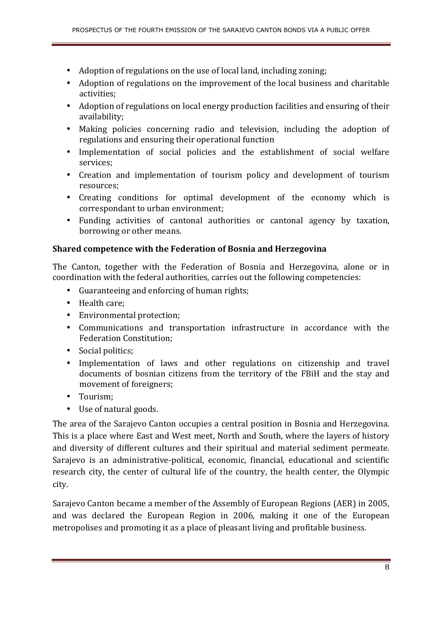- Adoption of regulations on the use of local land, including zoning;
- Adoption of regulations on the improvement of the local business and charitable activities;
- Adoption of regulations on local energy production facilities and ensuring of their availability;
- Making policies concerning radio and television, including the adoption of regulations and ensuring their operational function
- Implementation of social policies and the establishment of social welfare services;
- Creation and implementation of tourism policy and development of tourism resources;
- Creating conditions for optimal development of the economy which is correspondant to urban environment;
- Funding activities of cantonal authorities or cantonal agency by taxation, borrowing or other means.

#### **Shared competence with the Federation of Bosnia and Herzegovina**

The Canton, together with the Federation of Bosnia and Herzegovina, alone or in coordination with the federal authorities, carries out the following competencies:

- Guaranteeing and enforcing of human rights;
- Health care;
- Environmental protection;
- Communications and transportation infrastructure in accordance with the Federation Constitution;
- Social politics;
- Implementation of laws and other regulations on citizenship and travel documents of bosnian citizens from the territory of the FBiH and the stay and movement of foreigners;
- Tourism;
- Use of natural goods.

The area of the Sarajevo Canton occupies a central position in Bosnia and Herzegovina. This is a place where East and West meet, North and South, where the layers of history and diversity of different cultures and their spiritual and material sediment permeate. Sarajevo is an administrative-political, economic, financial, educational and scientific research city, the center of cultural life of the country, the health center, the Olympic city.

Sarajevo Canton became a member of the Assembly of European Regions (AER) in 2005, and was declared the European Region in 2006, making it one of the European metropolises and promoting it as a place of pleasant living and profitable business.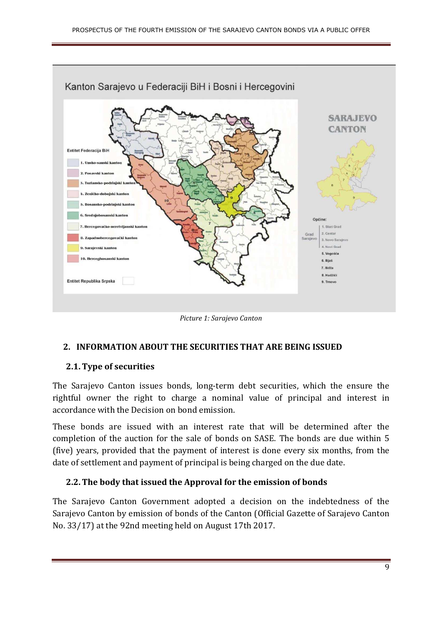

*Picture 1: Sarajevo Canton* 

#### **2. INFORMATION ABOUT THE SECURITIES THAT ARE BEING ISSUED**

#### **2.1.Type of securities**

The Sarajevo Canton issues bonds, long-term debt securities, which the ensure the rightful owner the right to charge a nominal value of principal and interest in accordance with the Decision on bond emission.

These bonds are issued with an interest rate that will be determined after the completion of the auction for the sale of bonds on SASE. The bonds are due within 5 (five) years, provided that the payment of interest is done every six months, from the date of settlement and payment of principal is being charged on the due date.

#### **2.2.The body that issued the Approval for the emission of bonds**

The Sarajevo Canton Government adopted a decision on the indebtedness of the Sarajevo Canton by emission of bonds of the Canton (Official Gazette of Sarajevo Canton No. 33/17) at the 92nd meeting held on August 17th 2017.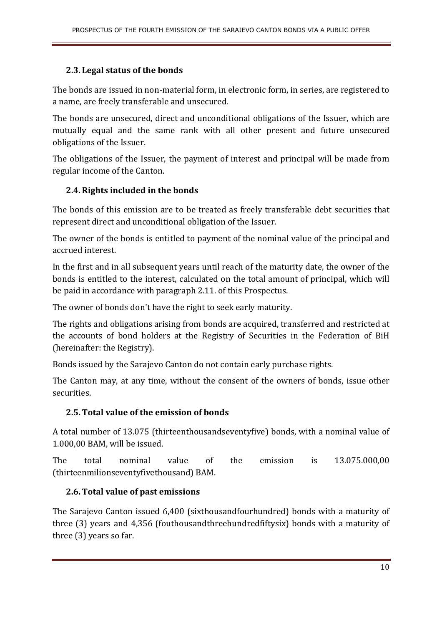#### **2.3. Legal status of the bonds**

The bonds are issued in non-material form, in electronic form, in series, are registered to a name, are freely transferable and unsecured.

The bonds are unsecured, direct and unconditional obligations of the Issuer, which are mutually equal and the same rank with all other present and future unsecured obligations of the Issuer.

The obligations of the Issuer, the payment of interest and principal will be made from regular income of the Canton.

#### **2.4.Rights included in the bonds**

The bonds of this emission are to be treated as freely transferable debt securities that represent direct and unconditional obligation of the Issuer.

The owner of the bonds is entitled to payment of the nominal value of the principal and accrued interest.

In the first and in all subsequent years until reach of the maturity date, the owner of the bonds is entitled to the interest, calculated on the total amount of principal, which will be paid in accordance with paragraph 2.11. of this Prospectus.

The owner of bonds don't have the right to seek early maturity.

The rights and obligations arising from bonds are acquired, transferred and restricted at the accounts of bond holders at the Registry of Securities in the Federation of BiH (hereinafter: the Registry).

Bonds issued by the Sarajevo Canton do not contain early purchase rights.

The Canton may, at any time, without the consent of the owners of bonds, issue other securities.

#### **2.5.Total value of the emission of bonds**

A total number of 13.075 (thirteenthousandseventyfive) bonds, with a nominal value of 1.000,00 BAM, will be issued.

The total nominal value of the emission is 13.075.000,00 (thirteenmilionseventyfivethousand) BAM.

#### **2.6.Total value of past emissions**

The Sarajevo Canton issued 6,400 (sixthousandfourhundred) bonds with a maturity of three (3) years and 4,356 (fouthousandthreehundredfiftysix) bonds with a maturity of three (3) years so far.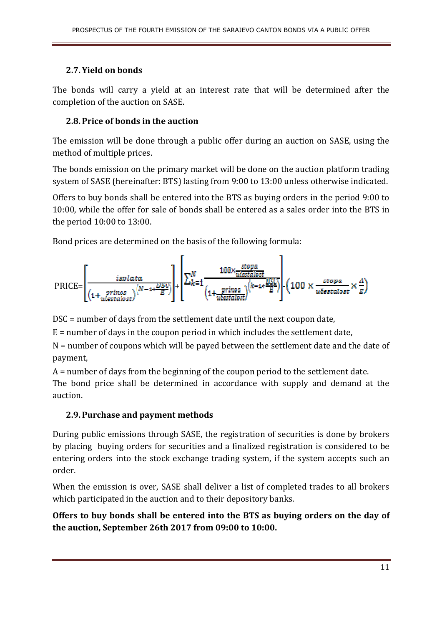#### **2.7. Yield on bonds**

The bonds will carry a yield at an interest rate that will be determined after the completion of the auction on SASE.

### **2.8. Price of bonds in the auction**

The emission will be done through a public offer during an auction on SASE, using the method of multiple prices.

The bonds emission on the primary market will be done on the auction platform trading system of SASE (hereinafter: BTS) lasting from 9:00 to 13:00 unless otherwise indicated.

Offers to buy bonds shall be entered into the BTS as buying orders in the period 9:00 to 10:00, while the offer for sale of bonds shall be entered as a sales order into the BTS in the period 10:00 to 13:00.

Bond prices are determined on the basis of the following formula:



DSC = number of days from the settlement date until the next coupon date,

 $E =$  number of days in the coupon period in which includes the settlement date,

N = number of coupons which will be payed between the settlement date and the date of payment,

A = number of days from the beginning of the coupon period to the settlement date.

The bond price shall be determined in accordance with supply and demand at the auction.

## **2.9. Purchase and payment methods**

During public emissions through SASE, the registration of securities is done by brokers by placing buying orders for securities and a finalized registration is considered to be entering orders into the stock exchange trading system, if the system accepts such an order.

When the emission is over, SASE shall deliver a list of completed trades to all brokers which participated in the auction and to their depository banks.

**Offers to buy bonds shall be entered into the BTS as buying orders on the day of the auction, September 26th 2017 from 09:00 to 10:00.**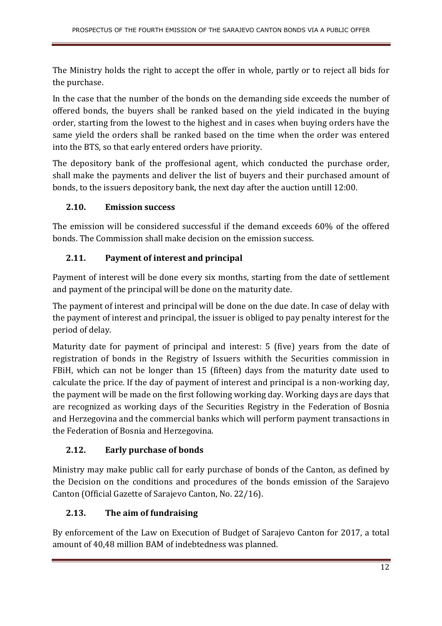The Ministry holds the right to accept the offer in whole, partly or to reject all bids for the purchase.

In the case that the number of the bonds on the demanding side exceeds the number of offered bonds, the buyers shall be ranked based on the yield indicated in the buying order, starting from the lowest to the highest and in cases when buying orders have the same yield the orders shall be ranked based on the time when the order was entered into the BTS, so that early entered orders have priority.

The depository bank of the proffesional agent, which conducted the purchase order, shall make the payments and deliver the list of buyers and their purchased amount of bonds, to the issuers depository bank, the next day after the auction untill 12:00.

## **2.10. Emission success**

The emission will be considered successful if the demand exceeds 60% of the offered bonds. The Commission shall make decision on the emission success.

## **2.11. Payment of interest and principal**

Payment of interest will be done every six months, starting from the date of settlement and payment of the principal will be done on the maturity date.

The payment of interest and principal will be done on the due date. In case of delay with the payment of interest and principal, the issuer is obliged to pay penalty interest for the period of delay.

Maturity date for payment of principal and interest: 5 (five) years from the date of registration of bonds in the Registry of Issuers withith the Securities commission in FBiH, which can not be longer than 15 (fifteen) days from the maturity date used to calculate the price. If the day of payment of interest and principal is a non-working day, the payment will be made on the first following working day. Working days are days that are recognized as working days of the Securities Registry in the Federation of Bosnia and Herzegovina and the commercial banks which will perform payment transactions in the Federation of Bosnia and Herzegovina.

## **2.12. Early purchase of bonds**

Ministry may make public call for early purchase of bonds of the Canton, as defined by the Decision on the conditions and procedures of the bonds emission of the Sarajevo Canton (Official Gazette of Sarajevo Canton, No. 22/16).

## **2.13. The aim of fundraising**

By enforcement of the Law on Execution of Budget of Sarajevo Canton for 2017, a total amount of 40,48 million BAM of indebtedness was planned.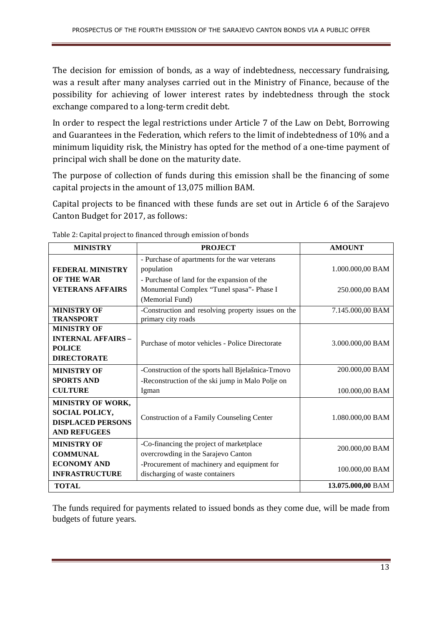The decision for emission of bonds, as a way of indebtedness, neccessary fundraising, was a result after many analyses carried out in the Ministry of Finance, because of the possibility for achieving of lower interest rates by indebtedness through the stock exchange compared to a long-term credit debt.

In order to respect the legal restrictions under Article 7 of the Law on Debt, Borrowing and Guarantees in the Federation, which refers to the limit of indebtedness of 10% and a minimum liquidity risk, the Ministry has opted for the method of a one-time payment of principal wich shall be done on the maturity date.

The purpose of collection of funds during this emission shall be the financing of some capital projects in the amount of 13,075 million BAM.

Capital projects to be financed with these funds are set out in Article 6 of the Sarajevo Canton Budget for 2017, as follows:

| <b>MINISTRY</b>                                                                               | <b>PROJECT</b>                                                                                             | <b>AMOUNT</b>     |
|-----------------------------------------------------------------------------------------------|------------------------------------------------------------------------------------------------------------|-------------------|
|                                                                                               |                                                                                                            |                   |
| <b>FEDERAL MINISTRY</b><br><b>OF THE WAR</b>                                                  | - Purchase of apartments for the war veterans<br>population<br>- Purchase of land for the expansion of the | 1.000.000,00 BAM  |
| <b>VETERANS AFFAIRS</b>                                                                       | Monumental Complex "Tunel spasa"- Phase I<br>(Memorial Fund)                                               | 250.000,00 BAM    |
| <b>MINISTRY OF</b><br><b>TRANSPORT</b>                                                        | -Construction and resolving property issues on the<br>primary city roads                                   | 7.145.000,00 BAM  |
| <b>MINISTRY OF</b><br><b>INTERNAL AFFAIRS -</b><br><b>POLICE</b><br><b>DIRECTORATE</b>        | Purchase of motor vehicles - Police Directorate                                                            | 3.000.000,00 BAM  |
| <b>MINISTRY OF</b>                                                                            | -Construction of the sports hall Bjelašnica-Trnovo                                                         | 200.000,00 BAM    |
| <b>SPORTS AND</b><br><b>CULTURE</b>                                                           | -Reconstruction of the ski jump in Malo Polje on<br>Igman                                                  | 100.000,00 BAM    |
| <b>MINISTRY OF WORK,</b><br>SOCIAL POLICY,<br><b>DISPLACED PERSONS</b><br><b>AND REFUGEES</b> | Construction of a Family Counseling Center                                                                 | 1.080.000,00 BAM  |
| <b>MINISTRY OF</b><br><b>COMMUNAL</b>                                                         | -Co-financing the project of marketplace<br>overcrowding in the Sarajevo Canton                            | 200.000,00 BAM    |
| <b>ECONOMY AND</b><br><b>INFRASTRUCTURE</b>                                                   | -Procurement of machinery and equipment for<br>discharging of waste containers                             | 100.000,00 BAM    |
| <b>TOTAL</b>                                                                                  |                                                                                                            | 13.075.000,00 BAM |

Table 2: Capital project to financed through emission of bonds

The funds required for payments related to issued bonds as they come due, will be made from budgets of future years.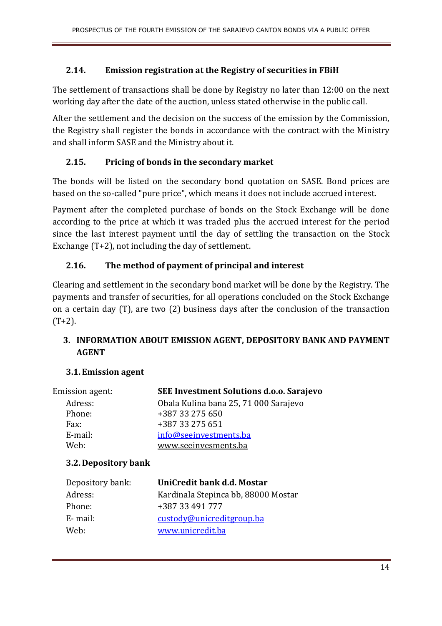#### **2.14. Emission registration at the Registry of securities in FBiH**

The settlement of transactions shall be done by Registry no later than 12:00 on the next working day after the date of the auction, unless stated otherwise in the public call.

After the settlement and the decision on the success of the emission by the Commission, the Registry shall register the bonds in accordance with the contract with the Ministry and shall inform SASE and the Ministry about it.

#### **2.15. Pricing of bonds in the secondary market**

The bonds will be listed on the secondary bond quotation on SASE. Bond prices are based on the so-called "pure price", which means it does not include accrued interest.

Payment after the completed purchase of bonds on the Stock Exchange will be done according to the price at which it was traded plus the accrued interest for the period since the last interest payment until the day of settling the transaction on the Stock Exchange (T+2), not including the day of settlement.

#### **2.16. The method of payment of principal and interest**

Clearing and settlement in the secondary bond market will be done by the Registry. The payments and transfer of securities, for all operations concluded on the Stock Exchange on a certain day (T), are two (2) business days after the conclusion of the transaction  $(T+2)$ .

### **3. INFORMATION ABOUT EMISSION AGENT, DEPOSITORY BANK AND PAYMENT AGENT**

#### **3.1. Emission agent**

| Emission agent: | <b>SEE Investment Solutions d.o.o. Sarajevo</b> |
|-----------------|-------------------------------------------------|
| Adress:         | Obala Kulina bana 25, 71 000 Sarajevo           |
| Phone:          | +387 33 275 650                                 |
| Fax:            | +387 33 275 651                                 |
| E-mail:         | info@seeinvestments.ba                          |
| Web:            | www.seeinvesments.ba                            |
|                 |                                                 |

#### **3.2. Depository bank**

| Depository bank: | UniCredit bank d.d. Mostar          |
|------------------|-------------------------------------|
| Adress:          | Kardinala Stepinca bb, 88000 Mostar |
| Phone:           | +387 33 491 777                     |
| E-mail:          | custody@unicreditgroup.ba           |
| Web:             | www.unicredit.ba                    |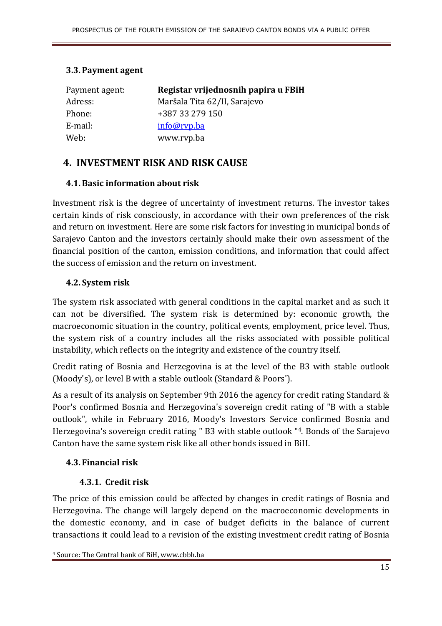#### **3.3. Payment agent**

| Payment agent: | Registar vrijednosnih papira u FBiH |
|----------------|-------------------------------------|
| Adress:        | Maršala Tita 62/II, Sarajevo        |
| Phone:         | +387 33 279 150                     |
| E-mail:        | info@rvp.ba                         |
| Web:           | www.rvp.ba                          |

## **4. INVESTMENT RISK AND RISK CAUSE**

#### **4.1.Basic information about risk**

Investment risk is the degree of uncertainty of investment returns. The investor takes certain kinds of risk consciously, in accordance with their own preferences of the risk and return on investment. Here are some risk factors for investing in municipal bonds of Sarajevo Canton and the investors certainly should make their own assessment of the financial position of the canton, emission conditions, and information that could affect the success of emission and the return on investment.

#### **4.2. System risk**

The system risk associated with general conditions in the capital market and as such it can not be diversified. The system risk is determined by: economic growth, the macroeconomic situation in the country, political events, employment, price level. Thus, the system risk of a country includes all the risks associated with possible political instability, which reflects on the integrity and existence of the country itself.

Credit rating of Bosnia and Herzegovina is at the level of the B3 with stable outlook (Moody's), or level B with a stable outlook (Standard & Poors').

As a result of its analysis on September 9th 2016 the agency for credit rating Standard & Poor's confirmed Bosnia and Herzegovina's sovereign credit rating of "B with a stable outlook", while in February 2016, Moody's Investors Service confirmed Bosnia and Herzegovina's sovereign credit rating " B3 with stable outlook "4. Bonds of the Sarajevo Canton have the same system risk like all other bonds issued in BiH.

#### **4.3. Financial risk**

 $\overline{a}$ 

#### **4.3.1. Credit risk**

The price of this emission could be affected by changes in credit ratings of Bosnia and Herzegovina. The change will largely depend on the macroeconomic developments in the domestic economy, and in case of budget deficits in the balance of current transactions it could lead to a revision of the existing investment credit rating of Bosnia

<sup>4</sup> Source: The Central bank of BiH, www.cbbh.ba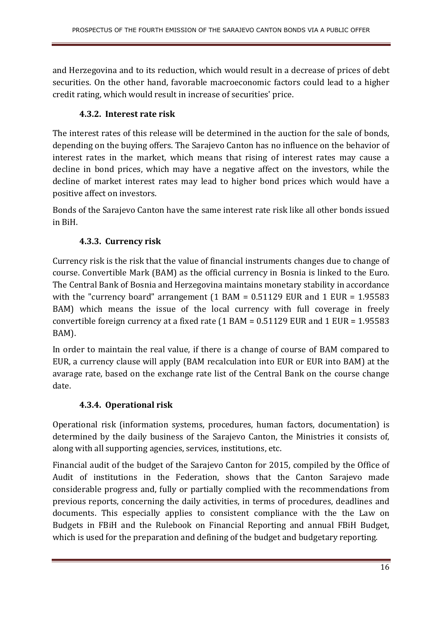and Herzegovina and to its reduction, which would result in a decrease of prices of debt securities. On the other hand, favorable macroeconomic factors could lead to a higher credit rating, which would result in increase of securities' price.

## **4.3.2. Interest rate risk**

The interest rates of this release will be determined in the auction for the sale of bonds, depending on the buying offers. The Sarajevo Canton has no influence on the behavior of interest rates in the market, which means that rising of interest rates may cause a decline in bond prices, which may have a negative affect on the investors, while the decline of market interest rates may lead to higher bond prices which would have a positive affect on investors.

Bonds of the Sarajevo Canton have the same interest rate risk like all other bonds issued in BiH.

## **4.3.3. Currency risk**

Currency risk is the risk that the value of financial instruments changes due to change of course. Convertible Mark (BAM) as the official currency in Bosnia is linked to the Euro. The Central Bank of Bosnia and Herzegovina maintains monetary stability in accordance with the "currency board" arrangement  $(1 \text{ BAM} = 0.51129 \text{ EUR}$  and  $1 \text{ EUR} = 1.95583$ BAM) which means the issue of the local currency with full coverage in freely convertible foreign currency at a fixed rate (1 BAM = 0.51129 EUR and 1 EUR = 1.95583 BAM).

In order to maintain the real value, if there is a change of course of BAM compared to EUR, a currency clause will apply (BAM recalculation into EUR or EUR into BAM) at the avarage rate, based on the exchange rate list of the Central Bank on the course change date.

## **4.3.4. Operational risk**

Operational risk (information systems, procedures, human factors, documentation) is determined by the daily business of the Sarajevo Canton, the Ministries it consists of, along with all supporting agencies, services, institutions, etc.

Financial audit of the budget of the Sarajevo Canton for 2015, compiled by the Office of Audit of institutions in the Federation, shows that the Canton Sarajevo made considerable progress and, fully or partially complied with the recommendations from previous reports, concerning the daily activities, in terms of procedures, deadlines and documents. This especially applies to consistent compliance with the the Law on Budgets in FBiH and the Rulebook on Financial Reporting and annual FBiH Budget, which is used for the preparation and defining of the budget and budgetary reporting.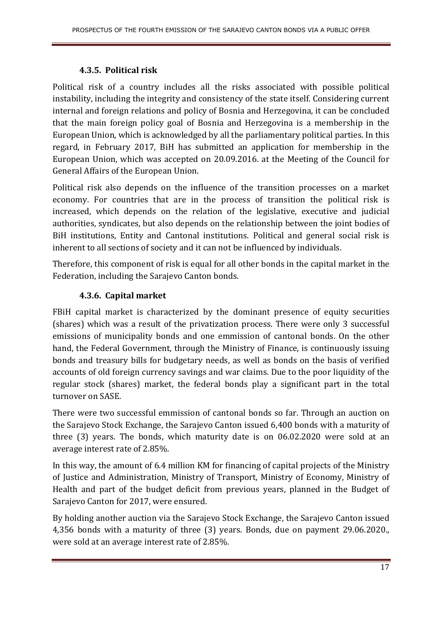#### **4.3.5. Political risk**

Political risk of a country includes all the risks associated with possible political instability, including the integrity and consistency of the state itself. Considering current internal and foreign relations and policy of Bosnia and Herzegovina, it can be concluded that the main foreign policy goal of Bosnia and Herzegovina is a membership in the European Union, which is acknowledged by all the parliamentary political parties. In this regard, in February 2017, BiH has submitted an application for membership in the European Union, which was accepted on 20.09.2016. at the Meeting of the Council for General Affairs of the European Union.

Political risk also depends on the influence of the transition processes on a market economy. For countries that are in the process of transition the political risk is increased, which depends on the relation of the legislative, executive and judicial authorities, syndicates, but also depends on the relationship between the joint bodies of BiH institutions, Entity and Cantonal institutions. Political and general social risk is inherent to all sections of society and it can not be influenced by individuals.

Therefore, this component of risk is equal for all other bonds in the capital market in the Federation, including the Sarajevo Canton bonds.

### **4.3.6. Capital market**

FBiH capital market is characterized by the dominant presence of equity securities (shares) which was a result of the privatization process. There were only 3 successful emissions of municipality bonds and one emmission of cantonal bonds. On the other hand, the Federal Government, through the Ministry of Finance, is continuously issuing bonds and treasury bills for budgetary needs, as well as bonds on the basis of verified accounts of old foreign currency savings and war claims. Due to the poor liquidity of the regular stock (shares) market, the federal bonds play a significant part in the total turnover on SASE.

There were two successful emmission of cantonal bonds so far. Through an auction on the Sarajevo Stock Exchange, the Sarajevo Canton issued 6,400 bonds with a maturity of three (3) years. The bonds, which maturity date is on 06.02.2020 were sold at an average interest rate of 2.85%.

In this way, the amount of 6.4 million KM for financing of capital projects of the Ministry of Justice and Administration, Ministry of Transport, Ministry of Economy, Ministry of Health and part of the budget deficit from previous years, planned in the Budget of Sarajevo Canton for 2017, were ensured.

By holding another auction via the Sarajevo Stock Exchange, the Sarajevo Canton issued 4,356 bonds with a maturity of three (3) years. Bonds, due on payment 29.06.2020., were sold at an average interest rate of 2.85%.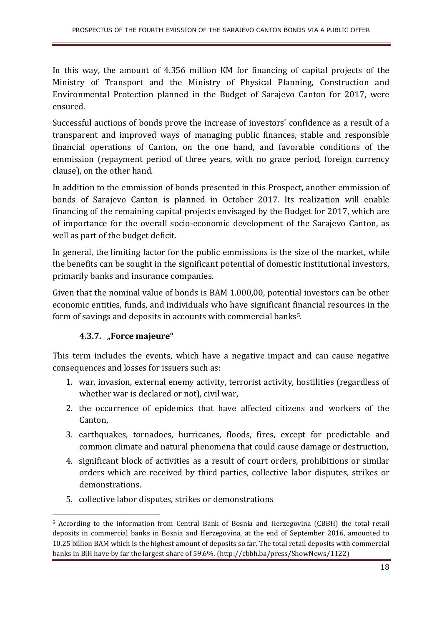In this way, the amount of 4.356 million KM for financing of capital projects of the Ministry of Transport and the Ministry of Physical Planning, Construction and Environmental Protection planned in the Budget of Sarajevo Canton for 2017, were ensured.

Successful auctions of bonds prove the increase of investors' confidence as a result of a transparent and improved ways of managing public finances, stable and responsible financial operations of Canton, on the one hand, and favorable conditions of the emmission (repayment period of three years, with no grace period, foreign currency clause), on the other hand.

In addition to the emmission of bonds presented in this Prospect, another emmission of bonds of Sarajevo Canton is planned in October 2017. Its realization will enable financing of the remaining capital projects envisaged by the Budget for 2017, which are of importance for the overall socio-economic development of the Sarajevo Canton, as well as part of the budget deficit.

In general, the limiting factor for the public emmissions is the size of the market, while the benefits can be sought in the significant potential of domestic institutional investors, primarily banks and insurance companies.

Given that the nominal value of bonds is BAM 1.000,00, potential investors can be other economic entities, funds, and individuals who have significant financial resources in the form of savings and deposits in accounts with commercial banks<sup>5</sup>.

#### **4.3.7. "Force majeure"**

l

This term includes the events, which have a negative impact and can cause negative consequences and losses for issuers such as:

- 1. war, invasion, external enemy activity, terrorist activity, hostilities (regardless of whether war is declared or not), civil war,
- 2. the occurrence of epidemics that have affected citizens and workers of the Canton,
- 3. earthquakes, tornadoes, hurricanes, floods, fires, except for predictable and common climate and natural phenomena that could cause damage or destruction,
- 4. significant block of activities as a result of court orders, prohibitions or similar orders which are received by third parties, collective labor disputes, strikes or demonstrations.
- 5. collective labor disputes, strikes or demonstrations

<sup>5</sup> According to the information from Central Bank of Bosnia and Herzegovina (CBBH) the total retail deposits in commercial banks in Bosnia and Herzegovina, at the end of September 2016, amounted to 10.25 billion BAM which is the highest amount of deposits so far. The total retail deposits with commercial banks in BiH have by far the largest share of 59.6%. (http://cbbh.ba/press/ShowNews/1122)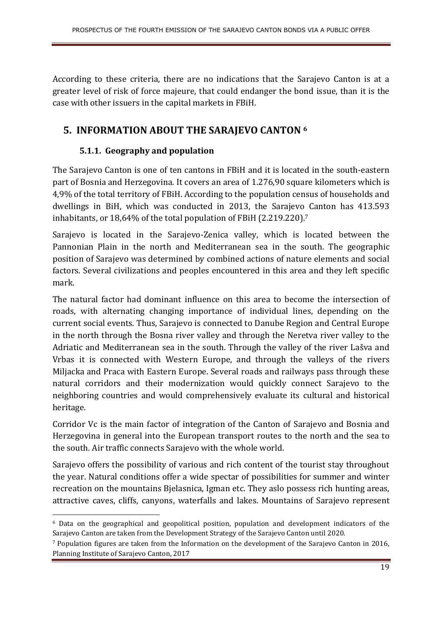According to these criteria, there are no indications that the Sarajevo Canton is at a greater level of risk of force majeure, that could endanger the bond issue, than it is the case with other issuers in the capital markets in FBiH.

## **5. INFORMATION ABOUT THE SARAJEVO CANTON <sup>6</sup>**

## **5.1.1. Geography and population**

l

The Sarajevo Canton is one of ten cantons in FBiH and it is located in the south-eastern part of Bosnia and Herzegovina. It covers an area of 1.276,90 square kilometers which is 4,9% of the total territory of FBiH. According to the population census of households and dwellings in BiH, which was conducted in 2013, the Sarajevo Canton has 413.593 inhabitants, or 18,64% of the total population of FBiH (2.219.220).<sup>7</sup>

Sarajevo is located in the Sarajevo-Zenica valley, which is located between the Pannonian Plain in the north and Mediterranean sea in the south. The geographic position of Sarajevo was determined by combined actions of nature elements and social factors. Several civilizations and peoples encountered in this area and they left specific mark.

The natural factor had dominant influence on this area to become the intersection of roads, with alternating changing importance of individual lines, depending on the current social events. Thus, Sarajevo is connected to Danube Region and Central Europe in the north through the Bosna river valley and through the Neretva river valley to the Adriatic and Mediterranean sea in the south. Through the valley of the river Lašva and Vrbas it is connected with Western Europe, and through the valleys of the rivers Miljacka and Praca with Eastern Europe. Several roads and railways pass through these natural corridors and their modernization would quickly connect Sarajevo to the neighboring countries and would comprehensively evaluate its cultural and historical heritage.

Corridor Vc is the main factor of integration of the Canton of Sarajevo and Bosnia and Herzegovina in general into the European transport routes to the north and the sea to the south. Air traffic connects Sarajevo with the whole world.

Sarajevo offers the possibility of various and rich content of the tourist stay throughout the year. Natural conditions offer a wide spectar of possibilities for summer and winter recreation on the mountains Bjelasnica, Igman etc. They aslo possess rich hunting areas, attractive caves, cliffs, canyons, waterfalls and lakes. Mountains of Sarajevo represent

<sup>6</sup> Data on the geographical and geopolitical position, population and development indicators of the Sarajevo Canton are taken from the Development Strategy of the Sarajevo Canton until 2020.

<sup>7</sup> Population figures are taken from the Information on the development of the Sarajevo Canton in 2016, Planning Institute of Sarajevo Canton, 2017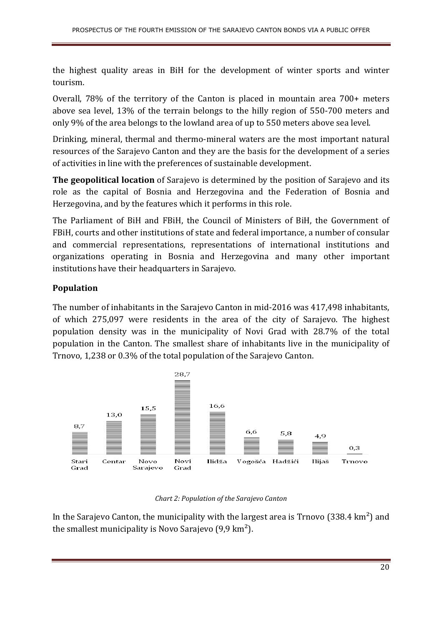the highest quality areas in BiH for the development of winter sports and winter tourism.

Overall, 78% of the territory of the Canton is placed in mountain area 700+ meters above sea level, 13% of the terrain belongs to the hilly region of 550-700 meters and only 9% of the area belongs to the lowland area of up to 550 meters above sea level.

Drinking, mineral, thermal and thermo-mineral waters are the most important natural resources of the Sarajevo Canton and they are the basis for the development of a series of activities in line with the preferences of sustainable development.

**The geopolitical location** of Sarajevo is determined by the position of Sarajevo and its role as the capital of Bosnia and Herzegovina and the Federation of Bosnia and Herzegovina, and by the features which it performs in this role.

The Parliament of BiH and FBiH, the Council of Ministers of BiH, the Government of FBiH, courts and other institutions of state and federal importance, a number of consular and commercial representations, representations of international institutions and organizations operating in Bosnia and Herzegovina and many other important institutions have their headquarters in Sarajevo.

#### **Population**

The number of inhabitants in the Sarajevo Canton in mid-2016 was 417,498 inhabitants, of which 275,097 were residents in the area of the city of Sarajevo. The highest population density was in the municipality of Novi Grad with 28.7% of the total population in the Canton. The smallest share of inhabitants live in the municipality of Trnovo, 1,238 or 0.3% of the total population of the Sarajevo Canton.



#### *Chart 2: Population of the Sarajevo Canton*

In the Sarajevo Canton, the municipality with the largest area is  $T_{\text{2}}$  Trnovo (338.4 km<sup>2</sup>) and the smallest municipality is Novo Sarajevo  $(9.9 \text{ km}^2)$ .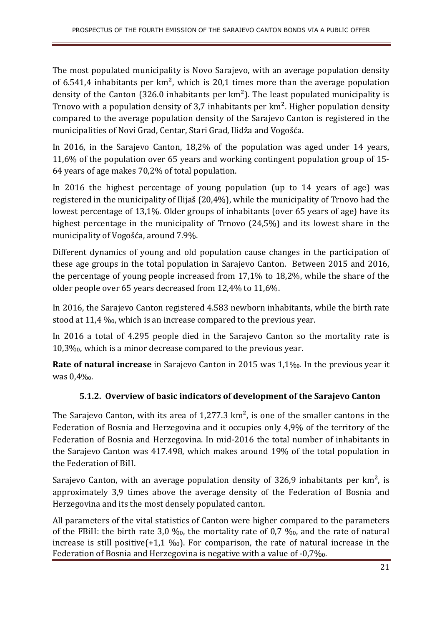The most populated municipality is Novo Sarajevo, with an average population density of 6.541,4 inhabitants per  $km^2$ , which is 20,1 times more than the average population density of the Canton (326.0 inhabitants per  $km^2$ ). The least populated municipality is Trnovo with a population density of 3,7 inhabitants per  $km<sup>2</sup>$ . Higher population density compared to the average population density of the Sarajevo Canton is registered in the municipalities of Novi Grad, Centar, Stari Grad, Ilidža and Vogošća.

In 2016, in the Sarajevo Canton, 18,2% of the population was aged under 14 years, 11,6% of the population over 65 years and working contingent population group of 15- 64 years of age makes 70,2% of total population.

In 2016 the highest percentage of young population (up to 14 years of age) was registered in the municipality of Ilijaš (20,4%), while the municipality of Trnovo had the lowest percentage of 13,1%. Older groups of inhabitants (over 65 years of age) have its highest percentage in the municipality of Trnovo (24,5%) and its lowest share in the municipality of Vogošća, around 7.9%.

Different dynamics of young and old population cause changes in the participation of these age groups in the total population in Sarajevo Canton. Between 2015 and 2016, the percentage of young people increased from 17,1% to 18,2%, while the share of the older people over 65 years decreased from 12,4% to 11,6%.

In 2016, the Sarajevo Canton registered 4.583 newborn inhabitants, while the birth rate stood at 11,4 ‰, which is an increase compared to the previous year.

In 2016 a total of 4.295 people died in the Sarajevo Canton so the mortality rate is 10,3‰, which is a minor decrease compared to the previous year.

**Rate of natural increase** in Sarajevo Canton in 2015 was 1,1‰. In the previous year it was 0,4‰.

## **5.1.2. Overview of basic indicators of development of the Sarajevo Canton**

The Sarajevo Canton, with its area of  $1,277.3 \text{ km}^2$ , is one of the smaller cantons in the Federation of Bosnia and Herzegovina and it occupies only 4,9% of the territory of the Federation of Bosnia and Herzegovina. In mid-2016 the total number of inhabitants in the Sarajevo Canton was 417.498, which makes around 19% of the total population in the Federation of BiH.

Sarajevo Canton, with an average population density of 326,9 inhabitants per  $km^2$ , is approximately 3,9 times above the average density of the Federation of Bosnia and Herzegovina and its the most densely populated canton.

All parameters of the vital statistics of Canton were higher compared to the parameters of the FBiH: the birth rate 3,0 ‰, the mortality rate of 0,7 ‰, and the rate of natural increase is still positive(+1,1  $\%$ ). For comparison, the rate of natural increase in the Federation of Bosnia and Herzegovina is negative with a value of -0,7‰.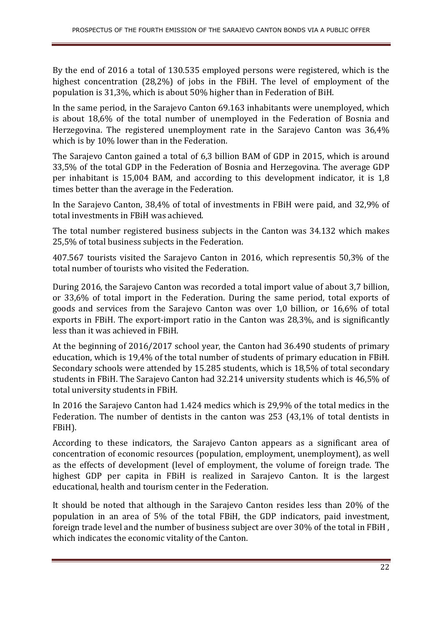By the end of 2016 a total of 130.535 employed persons were registered, which is the highest concentration (28,2%) of jobs in the FBiH. The level of employment of the population is 31,3%, which is about 50% higher than in Federation of BiH.

In the same period, in the Sarajevo Canton 69.163 inhabitants were unemployed, which is about 18,6% of the total number of unemployed in the Federation of Bosnia and Herzegovina. The registered unemployment rate in the Sarajevo Canton was 36,4% which is by 10% lower than in the Federation.

The Sarajevo Canton gained a total of 6,3 billion BAM of GDP in 2015, which is around 33,5% of the total GDP in the Federation of Bosnia and Herzegovina. The average GDP per inhabitant is 15,004 BAM, and according to this development indicator, it is 1,8 times better than the average in the Federation.

In the Sarajevo Canton, 38,4% of total of investments in FBiH were paid, and 32,9% of total investments in FBiH was achieved.

The total number registered business subjects in the Canton was 34.132 which makes 25,5% of total business subjects in the Federation.

407.567 tourists visited the Sarajevo Canton in 2016, which representis 50,3% of the total number of tourists who visited the Federation.

During 2016, the Sarajevo Canton was recorded a total import value of about 3,7 billion, or 33,6% of total import in the Federation. During the same period, total exports of goods and services from the Sarajevo Canton was over 1,0 billion, or 16,6% of total exports in FBiH. The export-import ratio in the Canton was 28,3%, and is significantly less than it was achieved in FBiH.

At the beginning of 2016/2017 school year, the Canton had 36.490 students of primary education, which is 19,4% of the total number of students of primary education in FBiH. Secondary schools were attended by 15.285 students, which is 18,5% of total secondary students in FBiH. The Sarajevo Canton had 32.214 university students which is 46,5% of total university students in FBiH.

In 2016 the Sarajevo Canton had 1.424 medics which is 29,9% of the total medics in the Federation. The number of dentists in the canton was 253 (43,1% of total dentists in FBiH).

According to these indicators, the Sarajevo Canton appears as a significant area of concentration of economic resources (population, employment, unemployment), as well as the effects of development (level of employment, the volume of foreign trade. The highest GDP per capita in FBiH is realized in Sarajevo Canton. It is the largest educational, health and tourism center in the Federation.

It should be noted that although in the Sarajevo Canton resides less than 20% of the population in an area of 5% of the total FBiH, the GDP indicators, paid investment, foreign trade level and the number of business subject are over 30% of the total in FBiH , which indicates the economic vitality of the Canton.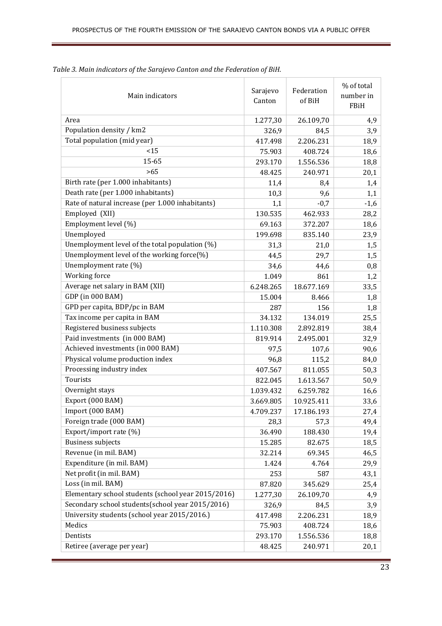| Main indicators                                    | Sarajevo<br>Canton | Federation<br>of BiH | % of total<br>number in<br>FBiH |
|----------------------------------------------------|--------------------|----------------------|---------------------------------|
| Area                                               | 1.277,30           | 26.109,70            | 4,9                             |
| Population density / km2                           | 326,9              | 84,5                 | 3,9                             |
| Total population (mid year)                        | 417.498            | 2.206.231            | 18,9                            |
| <15                                                | 75.903             | 408.724              | 18,6                            |
| 15-65                                              | 293.170            | 1.556.536            | 18,8                            |
| >65                                                | 48.425             | 240.971              | 20,1                            |
| Birth rate (per 1.000 inhabitants)                 | 11,4               | 8,4                  | 1,4                             |
| Death rate (per 1.000 inhabitants)                 | 10,3               | 9,6                  | 1,1                             |
| Rate of natural increase (per 1.000 inhabitants)   | 1,1                | $-0,7$               | $-1,6$                          |
| Employed (XII)                                     | 130.535            | 462.933              | 28,2                            |
| Employment level (%)                               | 69.163             | 372.207              | 18,6                            |
| Unemployed                                         | 199.698            | 835.140              | 23,9                            |
| Unemployment level of the total population (%)     | 31,3               | 21,0                 | 1,5                             |
| Unemployment level of the working force(%)         | 44,5               | 29,7                 | 1,5                             |
| Unemployment rate (%)                              | 34,6               | 44,6                 | 0,8                             |
| Working force                                      | 1.049              | 861                  | 1,2                             |
| Average net salary in BAM (XII)                    | 6.248.265          | 18.677.169           | 33,5                            |
| GDP (in 000 BAM)                                   | 15.004             | 8.466                | 1,8                             |
| GPD per capita, BDP/pc in BAM                      | 287                | 156                  | 1,8                             |
| Tax income per capita in BAM                       | 34.132             | 134.019              | 25,5                            |
| Registered business subjects                       | 1.110.308          | 2.892.819            | 38,4                            |
| Paid investments (in 000 BAM)                      | 819.914            | 2.495.001            | 32,9                            |
| Achieved investments (in 000 BAM)                  | 97,5               | 107,6                | 90,6                            |
| Physical volume production index                   | 96,8               | 115,2                | 84,0                            |
| Processing industry index                          | 407.567            | 811.055              | 50,3                            |
| Tourists                                           | 822.045            | 1.613.567            | 50,9                            |
| Overnight stays                                    | 1.039.432          | 6.259.782            | 16,6                            |
| Export (000 BAM)                                   | 3.669.805          | 10.925.411           | 33,6                            |
| Import (000 BAM)                                   | 4.709.237          | 17.186.193           | 27,4                            |
| Foreign trade (000 BAM)                            | 28,3               | 57,3                 | 49,4                            |
| Export/import rate (%)                             | 36.490             | 188.430              | 19,4                            |
| <b>Business subjects</b>                           | 15.285             | 82.675               | 18,5                            |
| Revenue (in mil. BAM)                              | 32.214             | 69.345               | 46,5                            |
| Expenditure (in mil. BAM)                          | 1.424              | 4.764                | 29,9                            |
| Net profit (in mil. BAM)                           | 253                | 587                  | 43,1                            |
| Loss (in mil. BAM)                                 | 87.820             | 345.629              | 25,4                            |
| Elementary school students (school year 2015/2016) | 1.277,30           | 26.109,70            | 4,9                             |
| Secondary school students(school year 2015/2016)   | 326,9              | 84,5                 | 3,9                             |
| University students (school year 2015/2016.)       | 417.498            | 2.206.231            | 18,9                            |
| Medics                                             | 75.903             | 408.724              | 18,6                            |
| Dentists                                           | 293.170            | 1.556.536            | 18,8                            |
| Retiree (average per year)                         | 48.425             | 240.971              | 20,1                            |

*Table 3. Main indicators of the Sarajevo Canton and the Federation of BiH.*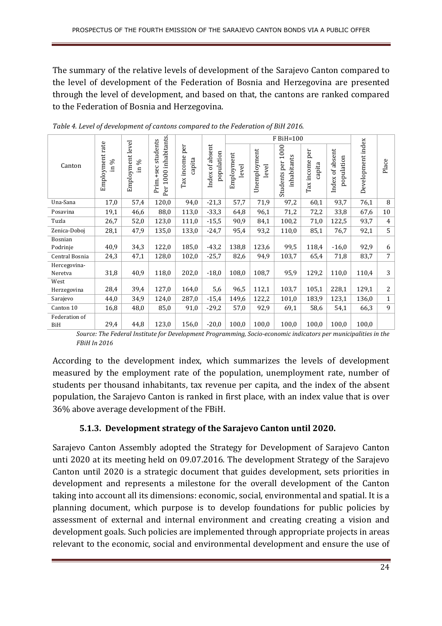The summary of the relative levels of development of the Sarajevo Canton compared to the level of development of the Federation of Bosnia and Herzegovina are presented through the level of development, and based on that, the cantons are ranked compared to the Federation of Bosnia and Herzegovina.

|                |                                            |                                 |                                                          |                             |                                  |                     |                       | F BiH=100                              |                             |                                  |                   |                  |
|----------------|--------------------------------------------|---------------------------------|----------------------------------------------------------|-----------------------------|----------------------------------|---------------------|-----------------------|----------------------------------------|-----------------------------|----------------------------------|-------------------|------------------|
| Canton         | Employment rate<br>$\sin \frac{\theta}{6}$ | Employment level<br>S6<br>$\Xi$ | 1000 inhabitants.<br>students<br>$+$ sec<br>Prim.<br>Per | per<br>Tax income<br>capita | of absent<br>population<br>Index | Employment<br>level | Unemployment<br>level | 1000<br>inhabitants<br>per<br>Students | per<br>Tax income<br>capita | absent<br>population<br>Index of | Development index | Place            |
| Una-Sana       | 17,0                                       | 57,4                            | 120,0                                                    | 94,0                        | $-21,3$                          | 57,7                | 71,9                  | 97,2                                   | 60,1                        | 93,7                             | 76,1              | 8                |
| Posavina       | 19,1                                       | 46,6                            | 88,0                                                     | 113,0                       | $-33,3$                          | 64,8                | 96,1                  | 71,2                                   | 72,2                        | 33,8                             | 67,6              | 10               |
| Tuzla          | 26,7                                       | 52,0                            | 123,0                                                    | 111,0                       | $-15,5$                          | 90,9                | 84,1                  | 100,2                                  | 71,0                        | 122,5                            | 93,7              | $\overline{4}$   |
| Zenica-Doboj   | 28,1                                       | 47,9                            | 135,0                                                    | 133,0                       | $-24,7$                          | 95,4                | 93,2                  | 110,0                                  | 85,1                        | 76,7                             | 92,1              | 5                |
| Bosnian        |                                            |                                 |                                                          |                             |                                  |                     |                       |                                        |                             |                                  |                   |                  |
| Podrinje       | 40,9                                       | 34,3                            | 122,0                                                    | 185,0                       | $-43,2$                          | 138,8               | 123,6                 | 99,5                                   | 118,4                       | $-16,0$                          | 92,9              | 6                |
| Central Bosnia | 24,3                                       | 47,1                            | 128,0                                                    | 102,0                       | $-25,7$                          | 82,6                | 94,9                  | 103,7                                  | 65,4                        | 71,8                             | 83,7              | $\overline{7}$   |
| Hercegovina-   |                                            |                                 |                                                          |                             |                                  |                     |                       |                                        |                             |                                  |                   |                  |
| Neretva        | 31,8                                       | 40,9                            | 118,0                                                    | 202,0                       | $-18,0$                          | 108,0               | 108,7                 | 95,9                                   | 129,2                       | 110,0                            | 110,4             | 3                |
| West           |                                            |                                 |                                                          |                             |                                  |                     |                       |                                        |                             |                                  |                   |                  |
| Herzegovina    | 28,4                                       | 39,4                            | 127,0                                                    | 164,0                       | 5,6                              | 96,5                | 112,1                 | 103,7                                  | 105,1                       | 228,1                            | 129,1             | $\boldsymbol{2}$ |
| Sarajevo       | 44,0                                       | 34,9                            | 124,0                                                    | 287,0                       | $-15,4$                          | 149,6               | 122,2                 | 101,0                                  | 183,9                       | 123,1                            | 136,0             | $\mathbf{1}$     |
| Canton 10      | 16,8                                       | 48,0                            | 85,0                                                     | 91,0                        | $-29,2$                          | 57,0                | 92,9                  | 69,1                                   | 58,6                        | 54,1                             | 66,3              | 9                |
| Federation of  |                                            |                                 |                                                          |                             |                                  |                     |                       |                                        |                             |                                  |                   |                  |
| BiH            | 29,4                                       | 44,8                            | 123,0                                                    | 156,0                       | $-20,0$                          | 100,0               | 100.0                 | 100,0                                  | 100,0                       | 100,0                            | 100,0             |                  |

*Table 4. Level of development of cantons compared to the Federation of BiH 2016.* 

*Source: The Federal Institute for Development Programming, Socio-economic indicators per municipalities in the FBiH In 2016* 

According to the development index, which summarizes the levels of development measured by the employment rate of the population, unemployment rate, number of students per thousand inhabitants, tax revenue per capita, and the index of the absent population, the Sarajevo Canton is ranked in first place, with an index value that is over 36% above average development of the FBiH.

#### **5.1.3. Development strategy of the Sarajevo Canton until 2020.**

Sarajevo Canton Assembly adopted the Strategy for Development of Sarajevo Canton unti 2020 at its meeting held on 09.07.2016*.* The development Strategy of the Sarajevo Canton until 2020 is a strategic document that guides development, sets priorities in development and represents a milestone for the overall development of the Canton taking into account all its dimensions: economic, social, environmental and spatial. It is a planning document, which purpose is to develop foundations for public policies by assessment of external and internal environment and creating creating a vision and development goals. Such policies are implemented through appropriate projects in areas relevant to the economic, social and environmental development and ensure the use of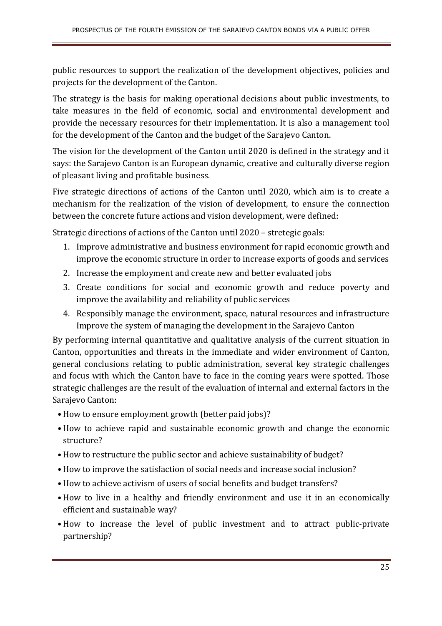public resources to support the realization of the development objectives, policies and projects for the development of the Canton.

The strategy is the basis for making operational decisions about public investments, to take measures in the field of economic, social and environmental development and provide the necessary resources for their implementation. It is also a management tool for the development of the Canton and the budget of the Sarajevo Canton.

The vision for the development of the Canton until 2020 is defined in the strategy and it says: the Sarajevo Canton is an European dynamic, creative and culturally diverse region of pleasant living and profitable business*.*

Five strategic directions of actions of the Canton until 2020, which aim is to create a mechanism for the realization of the vision of development, to ensure the connection between the concrete future actions and vision development, were defined:

Strategic directions of actions of the Canton until 2020 – stretegic goals:

- 1. Improve administrative and business environment for rapid economic growth and improve the economic structure in order to increase exports of goods and services
- 2. Increase the employment and create new and better evaluated jobs
- 3. Create conditions for social and economic growth and reduce poverty and improve the availability and reliability of public services
- 4. Responsibly manage the environment, space, natural resources and infrastructure Improve the system of managing the development in the Sarajevo Canton

By performing internal quantitative and qualitative analysis of the current situation in Canton, opportunities and threats in the immediate and wider environment of Canton, general conclusions relating to public administration, several key strategic challenges and focus with which the Canton have to face in the coming years were spotted. Those strategic challenges are the result of the evaluation of internal and external factors in the Sarajevo Canton:

- •How to ensure employment growth (better paid jobs)?
- •How to achieve rapid and sustainable economic growth and change the economic structure?
- •How to restructure the public sector and achieve sustainability of budget?
- •How to improve the satisfaction of social needs and increase social inclusion?
- •How to achieve activism of users of social benefits and budget transfers?
- •How to live in a healthy and friendly environment and use it in an economically efficient and sustainable way?
- •How to increase the level of public investment and to attract public-private partnership?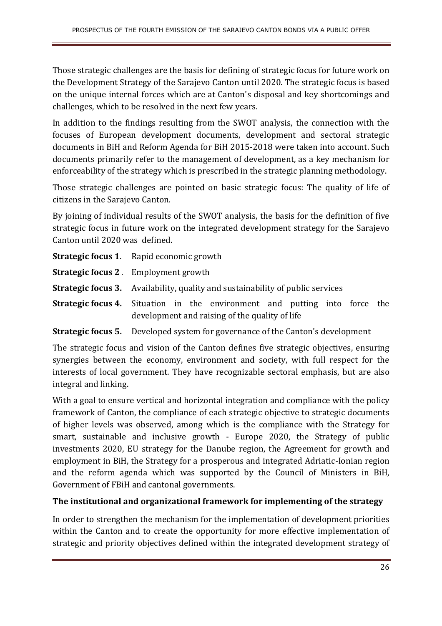Those strategic challenges are the basis for defining of strategic focus for future work on the Development Strategy of the Sarajevo Canton until 2020. The strategic focus is based on the unique internal forces which are at Canton's disposal and key shortcomings and challenges, which to be resolved in the next few years.

In addition to the findings resulting from the SWOT analysis, the connection with the focuses of European development documents, development and sectoral strategic documents in BiH and Reform Agenda for BiH 2015-2018 were taken into account. Such documents primarily refer to the management of development, as a key mechanism for enforceability of the strategy which is prescribed in the strategic planning methodology.

Those strategic challenges are pointed on basic strategic focus: The quality of life of citizens in the Sarajevo Canton*.*

By joining of individual results of the SWOT analysis, the basis for the definition of five strategic focus in future work on the integrated development strategy for the Sarajevo Canton until 2020 was defined.

|                                                                                       | <b>Strategic focus 1.</b> Rapid economic growth                                                                                     |  |  |
|---------------------------------------------------------------------------------------|-------------------------------------------------------------------------------------------------------------------------------------|--|--|
|                                                                                       | <b>Strategic focus 2.</b> Employment growth                                                                                         |  |  |
| <b>Strategic focus 3.</b> Availability, quality and sustainability of public services |                                                                                                                                     |  |  |
|                                                                                       | <b>Strategic focus 4.</b> Situation in the environment and putting into force the<br>development and raising of the quality of life |  |  |

#### **Strategic focus 5.** Developed system for governance of the Canton's development

The strategic focus and vision of the Canton defines five strategic objectives, ensuring synergies between the economy, environment and society, with full respect for the interests of local government. They have recognizable sectoral emphasis, but are also integral and linking.

With a goal to ensure vertical and horizontal integration and compliance with the policy framework of Canton, the compliance of each strategic objective to strategic documents of higher levels was observed, among which is the compliance with the Strategy for smart, sustainable and inclusive growth - Europe 2020, the Strategy of public investments 2020, EU strategy for the Danube region, the Agreement for growth and employment in BiH, the Strategy for a prosperous and integrated Adriatic-Ionian region and the reform agenda which was supported by the Council of Ministers in BiH, Government of FBiH and cantonal governments.

#### **The institutional and organizational framework for implementing of the strategy**

In order to strengthen the mechanism for the implementation of development priorities within the Canton and to create the opportunity for more effective implementation of strategic and priority objectives defined within the integrated development strategy of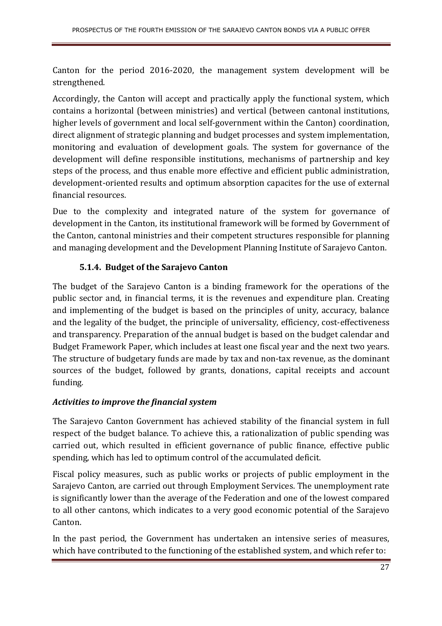Canton for the period 2016-2020, the management system development will be strengthened.

Accordingly, the Canton will accept and practically apply the functional system, which contains a horizontal (between ministries) and vertical (between cantonal institutions, higher levels of government and local self-government within the Canton) coordination, direct alignment of strategic planning and budget processes and system implementation, monitoring and evaluation of development goals. The system for governance of the development will define responsible institutions, mechanisms of partnership and key steps of the process, and thus enable more effective and efficient public administration, development-oriented results and optimum absorption capacites for the use of external financial resources.

Due to the complexity and integrated nature of the system for governance of development in the Canton, its institutional framework will be formed by Government of the Canton, cantonal ministries and their competent structures responsible for planning and managing development and the Development Planning Institute of Sarajevo Canton.

## **5.1.4. Budget of the Sarajevo Canton**

The budget of the Sarajevo Canton is a binding framework for the operations of the public sector and, in financial terms, it is the revenues and expenditure plan. Creating and implementing of the budget is based on the principles of unity, accuracy, balance and the legality of the budget, the principle of universality, efficiency, cost-effectiveness and transparency. Preparation of the annual budget is based on the budget calendar and Budget Framework Paper, which includes at least one fiscal year and the next two years. The structure of budgetary funds are made by tax and non-tax revenue, as the dominant sources of the budget, followed by grants, donations, capital receipts and account funding*.* 

#### *Activities to improve the financial system*

The Sarajevo Canton Government has achieved stability of the financial system in full respect of the budget balance. To achieve this, a rationalization of public spending was carried out, which resulted in efficient governance of public finance, effective public spending, which has led to optimum control of the accumulated deficit.

Fiscal policy measures, such as public works or projects of public employment in the Sarajevo Canton, are carried out through Employment Services. The unemployment rate is significantly lower than the average of the Federation and one of the lowest compared to all other cantons, which indicates to a very good economic potential of the Sarajevo Canton.

In the past period, the Government has undertaken an intensive series of measures, which have contributed to the functioning of the established system, and which refer to: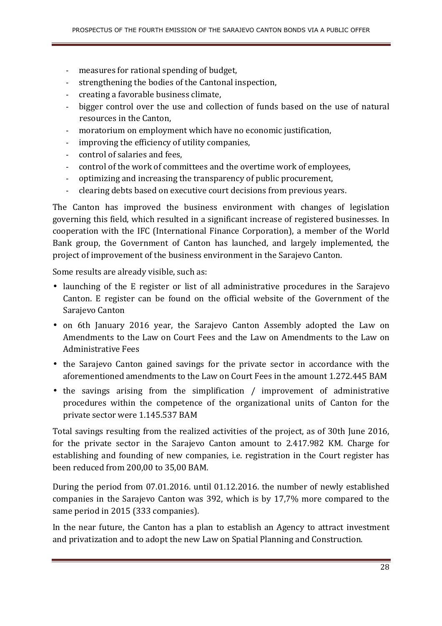- measures for rational spending of budget,
- strengthening the bodies of the Cantonal inspection,
- creating a favorable business climate,
- bigger control over the use and collection of funds based on the use of natural resources in the Canton,
- moratorium on employment which have no economic justification,
- improving the efficiency of utility companies,
- control of salaries and fees,
- control of the work of committees and the overtime work of employees,
- optimizing and increasing the transparency of public procurement,
- clearing debts based on executive court decisions from previous years.

The Canton has improved the business environment with changes of legislation governing this field, which resulted in a significant increase of registered businesses. In cooperation with the IFC (International Finance Corporation), a member of the World Bank group, the Government of Canton has launched, and largely implemented, the project of improvement of the business environment in the Sarajevo Canton.

Some results are already visible, such as:

- launching of the E register or list of all administrative procedures in the Sarajevo Canton. E register can be found on the official website of the Government of the Sarajevo Canton
- on 6th January 2016 year, the Sarajevo Canton Assembly adopted the Law on Amendments to the Law on Court Fees and the Law on Amendments to the Law on Administrative Fees
- the Sarajevo Canton gained savings for the private sector in accordance with the aforementioned amendments to the Law on Court Fees in the amount 1.272.445 BAM
- the savings arising from the simplification / improvement of administrative procedures within the competence of the organizational units of Canton for the private sector were 1.145.537 BAM

Total savings resulting from the realized activities of the project, as of 30th June 2016, for the private sector in the Sarajevo Canton amount to 2.417.982 KM. Charge for establishing and founding of new companies, i.e. registration in the Court register has been reduced from 200,00 to 35,00 BAM.

During the period from 07.01.2016. until 01.12.2016. the number of newly established companies in the Sarajevo Canton was 392, which is by 17,7% more compared to the same period in 2015 (333 companies).

In the near future, the Canton has a plan to establish an Agency to attract investment and privatization and to adopt the new Law on Spatial Planning and Construction.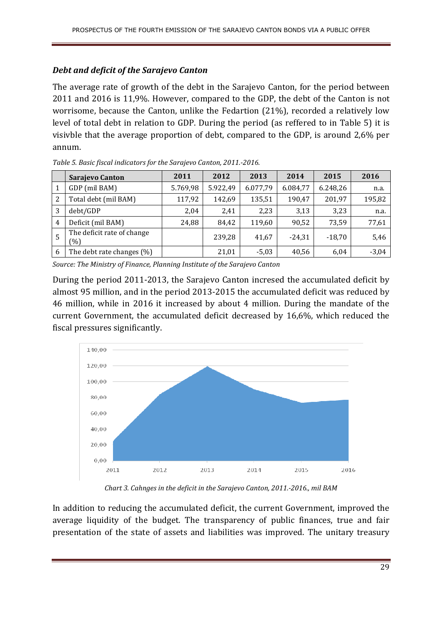#### *Debt and deficit of the Sarajevo Canton*

The average rate of growth of the debt in the Sarajevo Canton, for the period between 2011 and 2016 is 11,9%. However, compared to the GDP, the debt of the Canton is not worrisome, because the Canton, unlike the Fedartion (21%), recorded a relatively low level of total debt in relation to GDP. During the period (as reffered to in Table 5) it is visivble that the average proportion of debt, compared to the GDP, is around 2,6% per annum.

|   | Sarajevo Canton                   | 2011     | 2012     | 2013     | 2014     | 2015     | 2016    |
|---|-----------------------------------|----------|----------|----------|----------|----------|---------|
|   | GDP (mil BAM)                     | 5.769,98 | 5.922,49 | 6.077,79 | 6.084,77 | 6.248,26 | n.a.    |
| 2 | Total debt (mil BAM)              | 117,92   | 142,69   | 135,51   | 190,47   | 201,97   | 195,82  |
| 3 | debt/GDP                          | 2,04     | 2,41     | 2,23     | 3,13     | 3,23     | n.a.    |
| 4 | Deficit (mil BAM)                 | 24,88    | 84,42    | 119,60   | 90,52    | 73,59    | 77,61   |
| 5 | The deficit rate of change<br>(%) |          | 239,28   | 41,67    | $-24,31$ | $-18.70$ | 5,46    |
| 6 | The debt rate changes $(\%)$      |          | 21,01    | $-5,03$  | 40,56    | 6.04     | $-3,04$ |

*Table 5. Basic fiscal indicators for the Sarajevo Canton, 2011.-2016.* 

*Source: The Ministry of Finance, Planning Institute of the Sarajevo Canton* 

During the period 2011-2013, the Sarajevo Canton incresed the accumulated deficit by almost 95 million, and in the period 2013-2015 the accumulated deficit was reduced by 46 million, while in 2016 it increased by about 4 million. During the mandate of the current Government, the accumulated deficit decreased by 16,6%, which reduced the fiscal pressures significantly.



*Chart 3. Cahnges in the deficit in the Sarajevo Canton, 2011.-2016., mil BAM* 

In addition to reducing the accumulated deficit, the current Government, improved the average liquidity of the budget. The transparency of public finances, true and fair presentation of the state of assets and liabilities was improved. The unitary treasury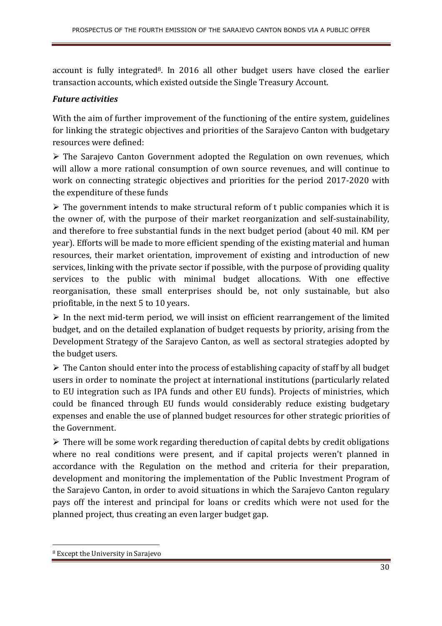account is fully integrated<sup>8</sup>. In 2016 all other budget users have closed the earlier transaction accounts, which existed outside the Single Treasury Account.

#### *Future activities*

With the aim of further improvement of the functioning of the entire system, guidelines for linking the strategic objectives and priorities of the Sarajevo Canton with budgetary resources were defined:

 The Sarajevo Canton Government adopted the Regulation on own revenues, which will allow a more rational consumption of own source revenues, and will continue to work on connecting strategic objectives and priorities for the period 2017-2020 with the expenditure of these funds

 $\triangleright$  The government intends to make structural reform of t public companies which it is the owner of, with the purpose of their market reorganization and self-sustainability, and therefore to free substantial funds in the next budget period (about 40 mil. KM per year). Efforts will be made to more efficient spending of the existing material and human resources, their market orientation, improvement of existing and introduction of new services, linking with the private sector if possible, with the purpose of providing quality services to the public with minimal budget allocations. With one effective reorganisation, these small enterprises should be, not only sustainable, but also priofitable, in the next 5 to 10 years.

 $\triangleright$  In the next mid-term period, we will insist on efficient rearrangement of the limited budget, and on the detailed explanation of budget requests by priority, arising from the Development Strategy of the Sarajevo Canton, as well as sectoral strategies adopted by the budget users.

 $\triangleright$  The Canton should enter into the process of establishing capacity of staff by all budget users in order to nominate the project at international institutions (particularly related to EU integration such as IPA funds and other EU funds). Projects of ministries, which could be financed through EU funds would considerably reduce existing budgetary expenses and enable the use of planned budget resources for other strategic priorities of the Government.

 $\triangleright$  There will be some work regarding thereduction of capital debts by credit obligations where no real conditions were present, and if capital projects weren't planned in accordance with the Regulation on the method and criteria for their preparation, development and monitoring the implementation of the Public Investment Program of the Sarajevo Canton, in order to avoid situations in which the Sarajevo Canton regulary pays off the interest and principal for loans or credits which were not used for the planned project, thus creating an even larger budget gap.

<sup>8</sup> Except the University in Sarajevo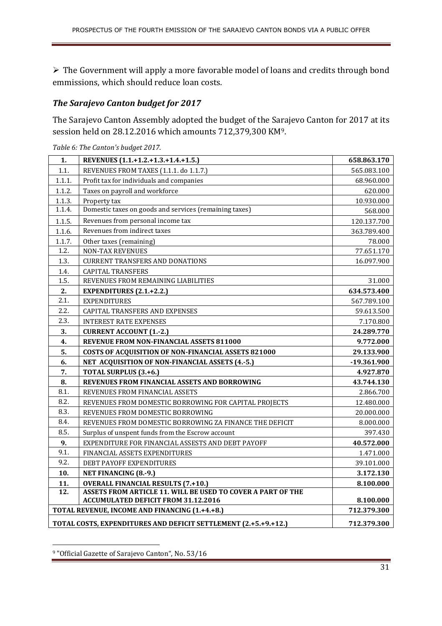The Government will apply a more favorable model of loans and credits through bond emmissions, which should reduce loan costs.

#### *The Sarajevo Canton budget for 2017*

The Sarajevo Canton Assembly adopted the budget of the Sarajevo Canton for 2017 at its session held on 28.12.2016 which amounts 712,379,300 KM9.

| 1.                | REVENUES (1.1.+1.2.+1.3.+1.4.+1.5.)                             | 658.863.170   |  |
|-------------------|-----------------------------------------------------------------|---------------|--|
| 1.1.              | REVENUES FROM TAXES (1.1.1. do 1.1.7.)                          | 565.083.100   |  |
| 1.1.1.            | Profit tax for individuals and companies                        | 68.960.000    |  |
| 1.1.2.            | Taxes on payroll and workforce                                  | 620.000       |  |
| 1.1.3.            | Property tax                                                    | 10.930.000    |  |
| 1.1.4.            | Domestic taxes on goods and services (remaining taxes)          | 568.000       |  |
| 1.1.5.            | Revenues from personal income tax                               | 120.137.700   |  |
| 1.1.6.            | Revenues from indirect taxes                                    | 363.789.400   |  |
| 1.1.7.            | Other taxes (remaining)                                         | 78.000        |  |
| 1.2.              | <b>NON-TAX REVENUES</b>                                         | 77.651.170    |  |
| 1.3.              | <b>CURRENT TRANSFERS AND DONATIONS</b>                          | 16.097.900    |  |
| 1.4.              | <b>CAPITAL TRANSFERS</b>                                        |               |  |
| 1.5.              | REVENUES FROM REMAINING LIABILITIES                             | 31.000        |  |
| 2.                | <b>EXPENDITURES (2.1.+2.2.)</b>                                 | 634.573.400   |  |
| 2.1.              | <b>EXPENDITURES</b>                                             | 567.789.100   |  |
| 2.2.              | CAPITAL TRANSFERS AND EXPENSES                                  | 59.613.500    |  |
| 2.3.              | <b>INTEREST RATE EXPENSES</b>                                   | 7.170.800     |  |
| 3.                | <b>CURRENT ACCOUNT (1.-2.)</b>                                  | 24.289.770    |  |
| 4.                | REVENUE FROM NON-FINANCIAL ASSETS 811000                        | 9.772.000     |  |
| 5.                | COSTS OF ACQUISITION OF NON-FINANCIAL ASSETS 821000             | 29.133.900    |  |
| 6.                | NET ACQUISITION OF NON-FINANCIAL ASSETS (4.-5.)                 | $-19.361.900$ |  |
| 7.                | TOTAL SURPLUS (3.+6.)                                           | 4.927.870     |  |
| 8.                | REVENUES FROM FINANCIAL ASSETS AND BORROWING                    | 43.744.130    |  |
| 8.1.              | REVENUES FROM FINANCIAL ASSETS                                  | 2.866.700     |  |
| 8.2.              | REVENUES FROM DOMESTIC BORROWING FOR CAPITAL PROJECTS           | 12.480.000    |  |
| 8.3.              | REVENUES FROM DOMESTIC BORROWING                                | 20.000.000    |  |
| 8.4.              | REVENUES FROM DOMESTIC BORROWING ZA FINANCE THE DEFICIT         | 8.000.000     |  |
| 8.5.              | Surplus of unspent funds from the Escrow account                | 397.430       |  |
| 9.                | EXPENDITURE FOR FINANCIAL ASSESTS AND DEBT PAYOFF               | 40.572.000    |  |
| 9.1.              | FINANCIAL ASSETS EXPENDITURES                                   | 1.471.000     |  |
| 9.2.              | DEBT PAYOFF EXPENDITURES                                        | 39.101.000    |  |
| 10.               | <b>NET FINANCING (8.-9.)</b>                                    | 3.172.130     |  |
| 11.               | <b>OVERALL FINANCIAL RESULTS (7.+10.)</b>                       | 8.100.000     |  |
| $\overline{12}$ . | ASSETS FROM ARTICLE 11. WILL BE USED TO COVER A PART OF THE     |               |  |
|                   | <b>ACCUMULATED DEFICIT FROM 31.12.2016</b>                      | 8.100.000     |  |
|                   | 712.379.300<br>TOTAL REVENUE, INCOME AND FINANCING (1.+4.+8.)   |               |  |
|                   | TOTAL COSTS, EXPENDITURES AND DEFICIT SETTLEMENT (2.+5.+9.+12.) | 712.379.300   |  |

*Table 6: The Canton's budget 2017.* 

<sup>9</sup> "Official Gazette of Sarajevo Canton", No. 53/16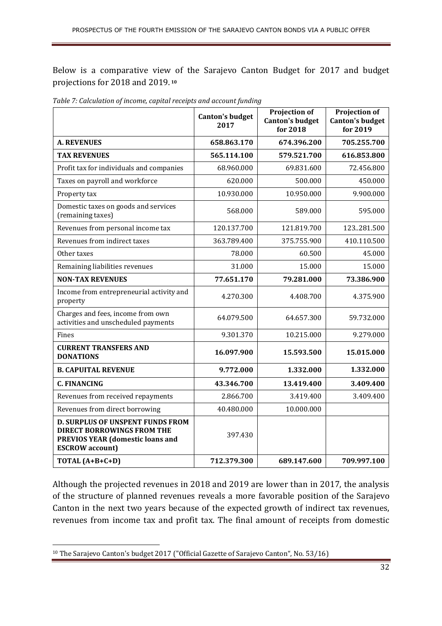Below is a comparative view of the Sarajevo Canton Budget for 2017 and budget projections for 2018 and 2019.**<sup>10</sup>**

|                                                                                                                                                   | <b>Canton's budget</b><br>2017 | Projection of<br><b>Canton's budget</b><br>for 2018 | <b>Projection of</b><br><b>Canton's budget</b><br>for 2019 |
|---------------------------------------------------------------------------------------------------------------------------------------------------|--------------------------------|-----------------------------------------------------|------------------------------------------------------------|
| <b>A. REVENUES</b>                                                                                                                                | 658.863.170                    | 674.396.200                                         | 705.255.700                                                |
| <b>TAX REVENUES</b>                                                                                                                               | 565.114.100                    | 579.521.700                                         | 616.853.800                                                |
| Profit tax for individuals and companies                                                                                                          | 68.960.000                     | 69.831.600                                          | 72.456.800                                                 |
| Taxes on payroll and workforce                                                                                                                    | 620.000                        | 500.000                                             | 450.000                                                    |
| Property tax                                                                                                                                      | 10.930.000                     | 10.950.000                                          | 9.900.000                                                  |
| Domestic taxes on goods and services<br>(remaining taxes)                                                                                         | 568.000                        | 589.000                                             | 595.000                                                    |
| Revenues from personal income tax                                                                                                                 | 120.137.700                    | 121.819.700                                         | 123281.500                                                 |
| Revenues from indirect taxes                                                                                                                      | 363.789.400                    | 375.755.900                                         | 410.110.500                                                |
| Other taxes                                                                                                                                       | 78.000                         | 60.500                                              | 45.000                                                     |
| Remaining liabilities revenues                                                                                                                    | 31.000                         | 15.000                                              | 15.000                                                     |
| <b>NON-TAX REVENUES</b>                                                                                                                           | 77.651.170                     | 79.281.000                                          | 73.386.900                                                 |
| Income from entrepreneurial activity and<br>property                                                                                              | 4.270.300                      | 4.408.700                                           | 4.375.900                                                  |
| Charges and fees, income from own<br>activities and unscheduled payments                                                                          | 64.079.500                     | 64.657.300                                          | 59.732.000                                                 |
| Fines                                                                                                                                             | 9.301.370                      | 10.215.000                                          | 9.279.000                                                  |
| <b>CURRENT TRANSFERS AND</b><br><b>DONATIONS</b>                                                                                                  | 16.097.900                     | 15.593.500                                          | 15.015.000                                                 |
| <b>B. CAPUITAL REVENUE</b>                                                                                                                        | 9.772.000                      | 1.332.000                                           | 1.332.000                                                  |
| <b>C. FINANCING</b>                                                                                                                               | 43.346.700                     | 13.419.400                                          | 3.409.400                                                  |
| Revenues from received repayments                                                                                                                 | 2.866.700                      | 3.419.400                                           | 3.409.400                                                  |
| Revenues from direct borrowing                                                                                                                    | 40.480.000                     | 10.000.000                                          |                                                            |
| <b>D. SURPLUS OF UNSPENT FUNDS FROM</b><br><b>DIRECT BORROWINGS FROM THE</b><br><b>PREVIOS YEAR (domestic loans and</b><br><b>ESCROW</b> account) | 397.430                        |                                                     |                                                            |
| TOTAL (A+B+C+D)                                                                                                                                   | 712.379.300                    | 689.147.600                                         | 709.997.100                                                |

*Table 7: Calculation of income, capital receipts and account funding* 

Although the projected revenues in 2018 and 2019 are lower than in 2017, the analysis of the structure of planned revenues reveals a more favorable position of the Sarajevo Canton in the next two years because of the expected growth of indirect tax revenues, revenues from income tax and profit tax. The final amount of receipts from domestic

<sup>&</sup>lt;sup>10</sup> The Sarajevo Canton's budget 2017 ("Official Gazette of Sarajevo Canton", No. 53/16)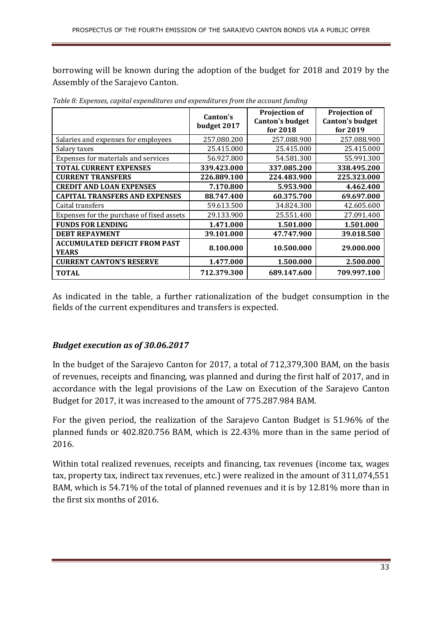borrowing will be known during the adoption of the budget for 2018 and 2019 by the Assembly of the Sarajevo Canton.

|                                                      | Canton's<br>budget 2017 | <b>Projection of</b><br><b>Canton's budget</b><br>for 2018 | <b>Projection of</b><br><b>Canton's budget</b><br>for $2019$ |
|------------------------------------------------------|-------------------------|------------------------------------------------------------|--------------------------------------------------------------|
| Salaries and expenses for employees                  | 257.080.200             | 257.088.900                                                | 257.088.900                                                  |
| Salary taxes                                         | 25.415.000              | 25.415.000                                                 | 25.415.000                                                   |
| Expenses for materials and services                  | 56.927.800              | 54.581.300                                                 | 55.991.300                                                   |
| <b>TOTAL CURRENT EXPENSES</b>                        | 339.423.000             | 337.085.200                                                | 338.495.200                                                  |
| <b>CURRENT TRANSFERS</b>                             | 226.889.100             | 224.483.900                                                | 225.323.000                                                  |
| <b>CREDIT AND LOAN EXPENSES</b>                      | 7.170.800               | 5.953.900                                                  | 4.462.400                                                    |
| <b>CAPITAL TRANSFERS AND EXPENSES</b>                | 88.747.400              | 60.375.700                                                 | 69.697.000                                                   |
| Caital transfers                                     | 59.613.500              | 34.824.300                                                 | 42.605.600                                                   |
| Expenses for the purchase of fixed assets            | 29.133.900              | 25.551.400                                                 | 27.091.400                                                   |
| <b>FUNDS FOR LENDING</b>                             | 1.471.000               | 1.501.000                                                  | 1.501.000                                                    |
| <b>DEBT REPAYMENT</b>                                | 39.101.000              | 47.747.900                                                 | 39.018.500                                                   |
| <b>ACCUMULATED DEFICIT FROM PAST</b><br><b>YEARS</b> | 8.100.000               | 10.500.000                                                 | 29,000,000                                                   |
| <b>CURRENT CANTON'S RESERVE</b>                      | 1.477.000               | 1.500.000                                                  | 2.500.000                                                    |
| <b>TOTAL</b>                                         | 712.379.300             | 689.147.600                                                | 709.997.100                                                  |

*Table 8: Expenses, capital expenditures and expenditures from the account funding* 

As indicated in the table, a further rationalization of the budget consumption in the fields of the current expenditures and transfers is expected.

#### *Budget execution as of 30.06.2017*

In the budget of the Sarajevo Canton for 2017, a total of 712,379,300 BAM, on the basis of revenues, receipts and financing, was planned and during the first half of 2017, and in accordance with the legal provisions of the Law on Execution of the Sarajevo Canton Budget for 2017, it was increased to the amount of 775.287.984 BAM.

For the given period, the realization of the Sarajevo Canton Budget is 51.96% of the planned funds or 402.820.756 BAM, which is 22.43% more than in the same period of 2016.

Within total realized revenues, receipts and financing, tax revenues (income tax, wages tax, property tax, indirect tax revenues, etc.) were realized in the amount of 311,074,551 BAM, which is 54.71% of the total of planned revenues and it is by 12.81% more than in the first six months of 2016.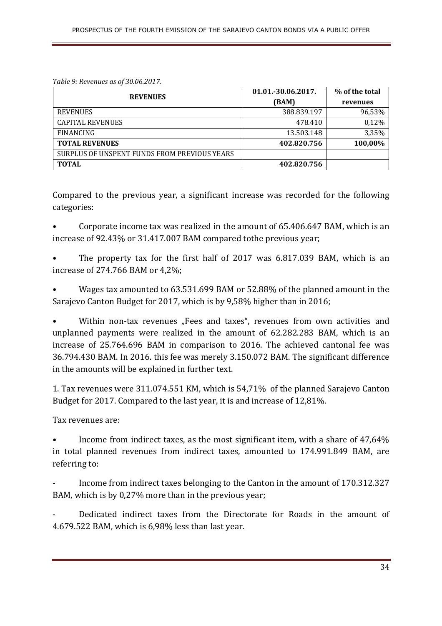*Table 9: Revenues as of 30.06.2017.* 

| <b>REVENUES</b>                              | 01.01.-30.06.2017. | % of the total |
|----------------------------------------------|--------------------|----------------|
|                                              | (BAM)              | revenues       |
| <b>REVENUES</b>                              | 388.839.197        | 96,53%         |
| <b>CAPITAL REVENUES</b>                      | 478.410            | 0,12%          |
| <b>FINANCING</b>                             | 13.503.148         | 3,35%          |
| <b>TOTAL REVENUES</b>                        | 402.820.756        | 100,00%        |
| SURPLUS OF UNSPENT FUNDS FROM PREVIOUS YEARS |                    |                |
| <b>TOTAL</b>                                 | 402.820.756        |                |

Compared to the previous year, a significant increase was recorded for the following categories:

• Corporate income tax was realized in the amount of 65.406.647 BAM, which is an increase of 92.43% or 31.417.007 BAM compared tothe previous year;

The property tax for the first half of 2017 was 6.817.039 BAM, which is an increase of 274.766 BAM or 4,2%;

• Wages tax amounted to 63.531.699 BAM or 52.88% of the planned amount in the Sarajevo Canton Budget for 2017, which is by 9,58% higher than in 2016;

Within non-tax revenues "Fees and taxes", revenues from own activities and unplanned payments were realized in the amount of 62.282.283 BAM, which is an increase of 25.764.696 BAM in comparison to 2016. The achieved cantonal fee was 36.794.430 BAM. In 2016. this fee was merely 3.150.072 BAM. The significant difference in the amounts will be explained in further text.

1. Tax revenues were 311.074.551 KM, which is 54,71% of the planned Sarajevo Canton Budget for 2017. Compared to the last year, it is and increase of 12,81%.

Tax revenues are:

• Income from indirect taxes, as the most significant item, with a share of 47,64% in total planned revenues from indirect taxes, amounted to 174.991.849 BAM, are referring to:

Income from indirect taxes belonging to the Canton in the amount of 170.312.327 BAM, which is by 0,27% more than in the previous year;

Dedicated indirect taxes from the Directorate for Roads in the amount of 4.679.522 BAM, which is 6,98% less than last year.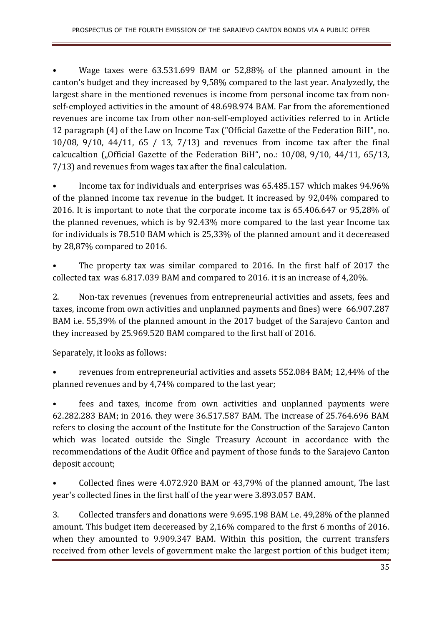• Wage taxes were 63.531.699 BAM or 52,88% of the planned amount in the canton's budget and they increased by 9,58% compared to the last year. Analyzedly, the largest share in the mentioned revenues is income from personal income tax from nonself-employed activities in the amount of 48.698.974 BAM. Far from the aforementioned revenues are income tax from other non-self-employed activities referred to in Article 12 paragraph (4) of the Law on Income Tax ("Official Gazette of the Federation BiH", no. 10/08, 9/10, 44/11, 65 / 13, 7/13) and revenues from income tax after the final calcucaltion ("Official Gazette of the Federation BiH", no.:  $10/08$ ,  $9/10$ ,  $44/11$ ,  $65/13$ , 7/13) and revenues from wages tax after the final calculation.

• Income tax for individuals and enterprises was 65.485.157 which makes 94.96% of the planned income tax revenue in the budget. It increased by 92,04% compared to 2016. It is important to note that the corporate income tax is 65.406.647 or 95,28% of the planned revenues, which is by 92.43% more compared to the last year Income tax for individuals is 78.510 BAM which is 25,33% of the planned amount and it decereased by 28,87% compared to 2016.

The property tax was similar compared to 2016. In the first half of 2017 the collected tax was 6.817.039 BAM and compared to 2016. it is an increase of 4,20%.

2. Non-tax revenues (revenues from entrepreneurial activities and assets, fees and taxes, income from own activities and unplanned payments and fines) were 66.907.287 BAM i.e. 55,39% of the planned amount in the 2017 budget of the Sarajevo Canton and they increased by 25.969.520 BAM compared to the first half of 2016.

Separately, it looks as follows:

• revenues from entrepreneurial activities and assets 552.084 BAM; 12,44% of the planned revenues and by 4,74% compared to the last year;

• fees and taxes, income from own activities and unplanned payments were 62.282.283 BAM; in 2016. they were 36.517.587 BAM. The increase of 25.764.696 BAM refers to closing the account of the Institute for the Construction of the Sarajevo Canton which was located outside the Single Treasury Account in accordance with the recommendations of the Audit Office and payment of those funds to the Sarajevo Canton deposit account;

• Collected fines were 4.072.920 BAM or 43,79% of the planned amount, The last year's collected fines in the first half of the year were 3.893.057 BAM.

3. Collected transfers and donations were 9.695.198 BAM i.e. 49,28% of the planned amount. This budget item decereased by 2,16% compared to the first 6 months of 2016. when they amounted to 9.909.347 BAM. Within this position, the current transfers received from other levels of government make the largest portion of this budget item;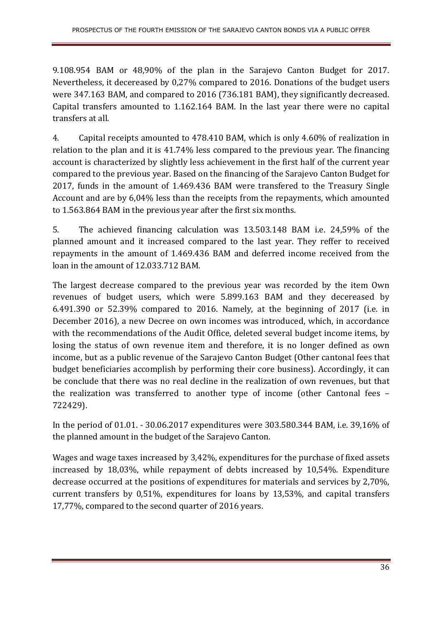9.108.954 BAM or 48,90% of the plan in the Sarajevo Canton Budget for 2017. Nevertheless, it decereased by 0,27% compared to 2016. Donations of the budget users were 347.163 BAM, and compared to 2016 (736.181 BAM), they significantly decreased. Capital transfers amounted to 1.162.164 BAM. In the last year there were no capital transfers at all.

4. Capital receipts amounted to 478.410 BAM, which is only 4.60% of realization in relation to the plan and it is 41.74% less compared to the previous year. The financing account is characterized by slightly less achievement in the first half of the current year compared to the previous year. Based on the financing of the Sarajevo Canton Budget for 2017, funds in the amount of 1.469.436 BAM were transfered to the Treasury Single Account and are by 6,04% less than the receipts from the repayments, which amounted to 1.563.864 BAM in the previous year after the first six months.

5. The achieved financing calculation was 13.503.148 BAM i.e. 24,59% of the planned amount and it increased compared to the last year. They reffer to received repayments in the amount of 1.469.436 BAM and deferred income received from the loan in the amount of 12.033.712 BAM.

The largest decrease compared to the previous year was recorded by the item Own revenues of budget users, which were 5.899.163 BAM and they decereased by 6.491.390 or 52.39% compared to 2016. Namely, at the beginning of 2017 (i.e. in December 2016), a new Decree on own incomes was introduced, which, in accordance with the recommendations of the Audit Office, deleted several budget income items, by losing the status of own revenue item and therefore, it is no longer defined as own income, but as a public revenue of the Sarajevo Canton Budget (Other cantonal fees that budget beneficiaries accomplish by performing their core business). Accordingly, it can be conclude that there was no real decline in the realization of own revenues, but that the realization was transferred to another type of income (other Cantonal fees – 722429).

In the period of 01.01. - 30.06.2017 expenditures were 303.580.344 BAM, i.e. 39,16% of the planned amount in the budget of the Sarajevo Canton.

Wages and wage taxes increased by 3,42%, expenditures for the purchase of fixed assets increased by 18,03%, while repayment of debts increased by 10,54%. Expenditure decrease occurred at the positions of expenditures for materials and services by 2,70%, current transfers by 0,51%, expenditures for loans by 13,53%, and capital transfers 17,77%, compared to the second quarter of 2016 years.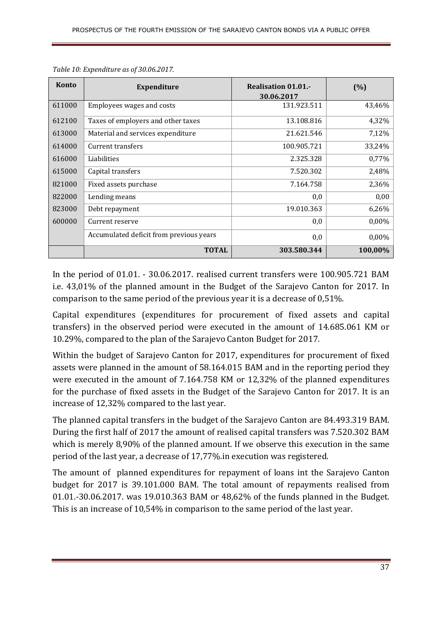| <b>Konto</b> | <b>Expenditure</b>                      | <b>Realisation 01.01.-</b><br>30.06.2017 | (%)      |
|--------------|-----------------------------------------|------------------------------------------|----------|
| 611000       | Employees wages and costs               | 131.923.511                              | 43,46%   |
| 612100       | Taxes of employers and other taxes      | 13.108.816                               | 4,32%    |
| 613000       | Material and services expenditure       | 21.621.546                               | 7,12%    |
| 614000       | Current transfers                       | 100.905.721                              | 33,24%   |
| 616000       | Liabilities                             | 2.325.328                                | 0,77%    |
| 615000       | Capital transfers                       | 7.520.302                                | 2,48%    |
| 821000       | Fixed assets purchase                   | 7.164.758                                | 2,36%    |
| 822000       | Lending means                           | 0,0                                      | 0,00     |
| 823000       | Debt repayment                          | 19.010.363                               | 6,26%    |
| 600000       | Current reserve                         | 0,0                                      | $0,00\%$ |
|              | Accumulated deficit from previous years | 0,0                                      | $0,00\%$ |
|              | <b>TOTAL</b>                            | 303.580.344                              | 100,00%  |

*Table 10: Expenditure as of 30.06.2017.* 

In the period of 01.01. - 30.06.2017. realised current transfers were 100.905.721 BAM i.e. 43,01% of the planned amount in the Budget of the Sarajevo Canton for 2017. In comparison to the same period of the previous year it is a decrease of 0,51%.

Capital expenditures (expenditures for procurement of fixed assets and capital transfers) in the observed period were executed in the amount of 14.685.061 KM or 10.29%, compared to the plan of the Sarajevo Canton Budget for 2017.

Within the budget of Sarajevo Canton for 2017, expenditures for procurement of fixed assets were planned in the amount of 58.164.015 BAM and in the reporting period they were executed in the amount of 7.164.758 KM or 12,32% of the planned expenditures for the purchase of fixed assets in the Budget of the Sarajevo Canton for 2017. It is an increase of 12,32% compared to the last year.

The planned capital transfers in the budget of the Sarajevo Canton are 84.493.319 BAM. During the first half of 2017 the amount of realised capital transfers was 7.520.302 BAM which is merely 8,90% of the planned amount. If we observe this execution in the same period of the last year, a decrease of 17,77%.in execution was registered.

The amount of planned expenditures for repayment of loans int the Sarajevo Canton budget for 2017 is 39.101.000 BAM. The total amount of repayments realised from 01.01.-30.06.2017. was 19.010.363 BAM or 48,62% of the funds planned in the Budget. This is an increase of 10,54% in comparison to the same period of the last year.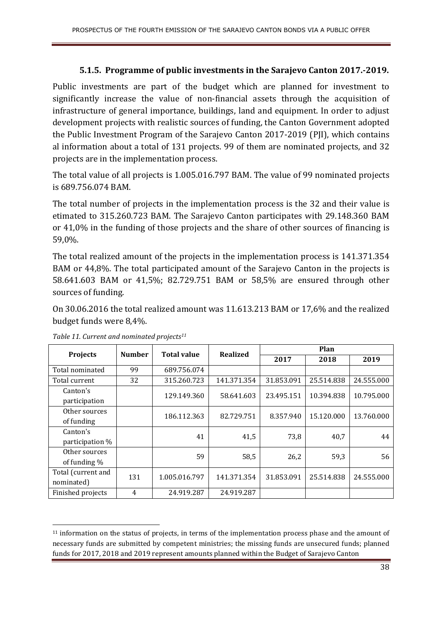#### **5.1.5. Programme of public investments in the Sarajevo Canton 2017.-2019.**

Public investments are part of the budget which are planned for investment to significantly increase the value of non-financial assets through the acquisition of infrastructure of general importance, buildings, land and equipment. In order to adjust development projects with realistic sources of funding, the Canton Government adopted the Public Investment Program of the Sarajevo Canton 2017-2019 (PJI), which contains al information about a total of 131 projects. 99 of them are nominated projects, and 32 projects are in the implementation process.

The total value of all projects is 1.005.016.797 BAM. The value of 99 nominated projects is 689.756.074 BAM.

The total number of projects in the implementation process is the 32 and their value is etimated to 315.260.723 BAM. The Sarajevo Canton participates with 29.148.360 BAM or 41,0% in the funding of those projects and the share of other sources of financing is 59,0%.

The total realized amount of the projects in the implementation process is 141.371.354 BAM or 44,8%. The total participated amount of the Sarajevo Canton in the projects is 58.641.603 BAM or 41,5%; 82.729.751 BAM or 58,5% are ensured through other sources of funding.

On 30.06.2016 the total realized amount was 11.613.213 BAM or 17,6% and the realized budget funds were 8,4%.

| <b>Projects</b>                  | <b>Number</b> |               | <b>Total value</b><br><b>Realized</b> |            | Plan       |            |  |
|----------------------------------|---------------|---------------|---------------------------------------|------------|------------|------------|--|
|                                  |               |               |                                       | 2017       | 2018       | 2019       |  |
| Total nominated                  | 99            | 689.756.074   |                                       |            |            |            |  |
| Total current                    | 32            | 315.260.723   | 141.371.354                           | 31.853.091 | 25.514.838 | 24.555.000 |  |
| Canton's<br>participation        |               | 129.149.360   | 58.641.603                            | 23.495.151 | 10.394.838 | 10.795.000 |  |
| Other sources<br>of funding      |               | 186.112.363   | 82.729.751                            | 8.357.940  | 15.120.000 | 13.760.000 |  |
| Canton's<br>participation %      |               | 41            | 41,5                                  | 73,8       | 40,7       | 44         |  |
| Other sources<br>of funding $\%$ |               | 59            | 58,5                                  | 26,2       | 59,3       | 56         |  |
| Total (current and<br>nominated) | 131           | 1.005.016.797 | 141.371.354                           | 31.853.091 | 25.514.838 | 24.555.000 |  |
| Finished projects                | 4             | 24.919.287    | 24.919.287                            |            |            |            |  |

*Table 11. Current and nominated projects<sup>11</sup>*

<sup>&</sup>lt;sup>11</sup> information on the status of projects, in terms of the implementation process phase and the amount of necessary funds are submitted by competent ministries; the missing funds are unsecured funds; planned funds for 2017, 2018 and 2019 represent amounts planned within the Budget of Sarajevo Canton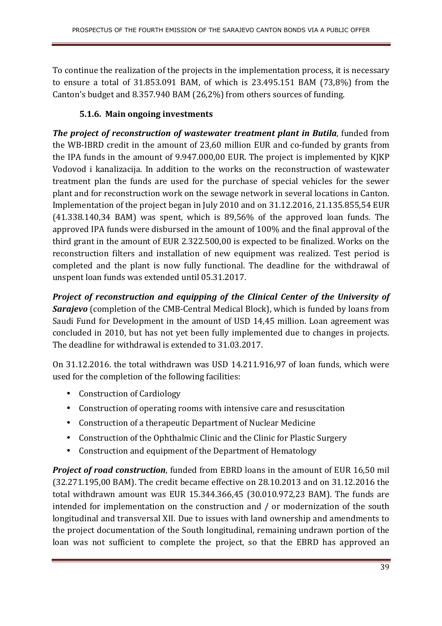To continue the realization of the projects in the implementation process, it is necessary to ensure a total of 31.853.091 BAM, of which is 23.495.151 BAM (73,8%) from the Canton's budget and 8.357.940 BAM (26,2%) from others sources of funding.

## **5.1.6. Main ongoing investments**

*The project of reconstruction of wastewater treatment plant in Butila*, funded from the WB-IBRD credit in the amount of 23,60 million EUR and co-funded by grants from the IPA funds in the amount of 9.947.000,00 EUR. The project is implemented by KJKP Vodovod i kanalizacija. In addition to the works on the reconstruction of wastewater treatment plan the funds are used for the purchase of special vehicles for the sewer plant and for reconstruction work on the sewage network in several locations in Canton. Implementation of the project began in July 2010 and on 31.12.2016, 21.135.855,54 EUR (41.338.140,34 BAM) was spent, which is 89,56% of the approved loan funds. The approved IPA funds were disbursed in the amount of 100% and the final approval of the third grant in the amount of EUR 2.322.500,00 is expected to be finalized. Works on the reconstruction filters and installation of new equipment was realized. Test period is completed and the plant is now fully functional. The deadline for the withdrawal of unspent loan funds was extended until 05.31.2017.

*Project of reconstruction and equipping of the Clinical Center of the University of*  **Sarajevo** (completion of the CMB-Central Medical Block), which is funded by loans from Saudi Fund for Development in the amount of USD 14,45 million. Loan agreement was concluded in 2010, but has not yet been fully implemented due to changes in projects. The deadline for withdrawal is extended to 31.03.2017.

On 31.12.2016. the total withdrawn was USD 14.211.916,97 of loan funds, which were used for the completion of the following facilities:

- Construction of Cardiology
- Construction of operating rooms with intensive care and resuscitation
- Construction of a therapeutic Department of Nuclear Medicine
- Construction of the Ophthalmic Clinic and the Clinic for Plastic Surgery
- Construction and equipment of the Department of Hematology

*Project of road construction*, funded from EBRD loans in the amount of EUR 16,50 mil (32.271.195,00 BAM). The credit became effective on 28.10.2013 and on 31.12.2016 the total withdrawn amount was EUR 15.344.366,45 (30.010.972,23 BAM). The funds are intended for implementation on the construction and / or modernization of the south longitudinal and transversal XII. Due to issues with land ownership and amendments to the project documentation of the South longitudinal, remaining undrawn portion of the loan was not sufficient to complete the project, so that the EBRD has approved an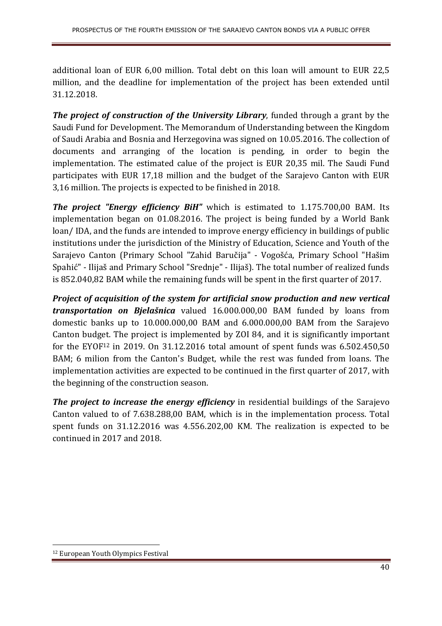additional loan of EUR 6,00 million. Total debt on this loan will amount to EUR 22,5 million, and the deadline for implementation of the project has been extended until 31.12.2018.

*The project of construction of the University Library*, funded through a grant by the Saudi Fund for Development. The Memorandum of Understanding between the Kingdom of Saudi Arabia and Bosnia and Herzegovina was signed on 10.05.2016. The collection of documents and arranging of the location is pending, in order to begin the implementation. The estimated calue of the project is EUR 20,35 mil. The Saudi Fund participates with EUR 17,18 million and the budget of the Sarajevo Canton with EUR 3,16 million. The projects is expected to be finished in 2018.

*The project "Energy efficiency BiH"* which is estimated to 1.175.700,00 BAM. Its implementation began on 01.08.2016. The project is being funded by a World Bank loan/ IDA, and the funds are intended to improve energy efficiency in buildings of public institutions under the jurisdiction of the Ministry of Education, Science and Youth of the Sarajevo Canton (Primary School "Zahid Baručija" - Vogošća, Primary School "Hašim Spahić" - Ilijaš and Primary School "Srednje" - Ilijaš). The total number of realized funds is 852.040,82 BAM while the remaining funds will be spent in the first quarter of 2017.

*Project of acquisition of the system for artificial snow production and new vertical transportation on Bjelašnica* valued 16.000.000,00 BAM funded by loans from domestic banks up to 10.000.000,00 BAM and 6.000.000,00 BAM from the Sarajevo Canton budget. The project is implemented by ZOI 84, and it is significantly important for the EYOF<sup>12</sup> in 2019. On 31.12.2016 total amount of spent funds was  $6.502.450,50$ BAM; 6 milion from the Canton's Budget, while the rest was funded from loans. The implementation activities are expected to be continued in the first quarter of 2017, with the beginning of the construction season.

**The project to increase the energy efficiency** in residential buildings of the Sarajevo Canton valued to of 7.638.288,00 BAM, which is in the implementation process. Total spent funds on 31.12.2016 was 4.556.202,00 KM. The realization is expected to be continued in 2017 and 2018.

<sup>12</sup> European Youth Olympics Festival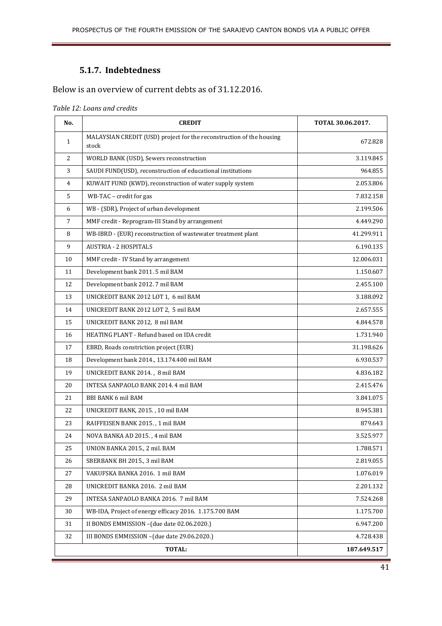### **5.1.7. Indebtedness**

## Below is an overview of current debts as of 31.12.2016.

#### *Table 12: Loans and credits*

| No.            | <b>CREDIT</b>                                                                 | TOTAL 30.06.2017. |
|----------------|-------------------------------------------------------------------------------|-------------------|
| 1              | MALAYSIAN CREDIT (USD) project for the reconstruction of the housing<br>stock | 672.828           |
| 2              | WORLD BANK (USD), Sewers reconstruction                                       | 3.119.845         |
| 3              | SAUDI FUND(USD), reconstruction of educational institutions                   | 964.855           |
| $\overline{4}$ | KUWAIT FUND (KWD), reconstruction of water supply system                      | 2.053.806         |
| 5              | WB-TAC - credit for gas                                                       | 7.832.158         |
| 6              | WB - (SDR), Project of urban development                                      | 2.199.506         |
| 7              | MMF credit - Reprogram-III Stand by arrangement                               | 4.449.290         |
| 8              | WB-IBRD - (EUR) reconstruction of wastewater treatment plant                  | 41.299.911        |
| 9              | <b>AUSTRIA - 2 HOSPITALS</b>                                                  | 6.190.135         |
| 10             | MMF credit - IV Stand by arrangement                                          | 12.006.031        |
| 11             | Development bank 2011. 5 mil BAM                                              | 1.150.607         |
| 12             | Development bank 2012. 7 mil BAM                                              | 2.455.100         |
| 13             | UNICREDIT BANK 2012 LOT 1, 6 mil BAM                                          | 3.188.092         |
| 14             | UNICREDIT BANK 2012 LOT 2, 5 mil BAM                                          | 2.657.555         |
| 15             | UNICREDIT BANK 2012, 8 mil BAM                                                | 4.844.578         |
| 16             | HEATING PLANT - Refund based on IDA credit                                    | 1.731.940         |
| 17             | EBRD, Roads constriction project (EUR)                                        | 31.198.626        |
| 18             | Development bank 2014., 13.174.400 mil BAM                                    | 6.930.537         |
| 19             | UNICREDIT BANK 2014., 8 mil BAM                                               | 4.836.182         |
| 20             | INTESA SANPAOLO BANK 2014. 4 mil BAM                                          | 2.415.476         |
| 21             | <b>BBI BANK 6 mil BAM</b>                                                     | 3.841.075         |
| 22             | UNICREDIT BANK, 2015., 10 mil BAM                                             | 8.945.381         |
| 23             | RAIFFEISEN BANK 2015., 1 mil BAM                                              | 879.643           |
| 24             | NOVA BANKA AD 2015., 4 mil BAM                                                | 3.525.977         |
| 25             | UNION BANKA 2015., 2 mil. BAM                                                 | 1.788.571         |
| 26             | SBERBANK BH 2015., 3 mil BAM                                                  | 2.819.055         |
| 27             | VAKUFSKA BANKA 2016. 1 mil BAM                                                | 1.076.019         |
| 28             | UNICREDIT BANKA 2016. 2 mil BAM                                               | 2.201.132         |
| 29             | INTESA SANPAOLO BANKA 2016. 7 mil BAM                                         | 7.524.268         |
| 30             | WB-IDA, Project of energy efficacy 2016. 1.175.700 BAM                        | 1.175.700         |
| 31             | II BONDS EMMISSION - (due date 02.06.2020.)                                   | 6.947.200         |
| 32             | III BONDS EMMISSION - (due date 29.06.2020.)                                  | 4.728.438         |
|                | TOTAL:                                                                        | 187.649.517       |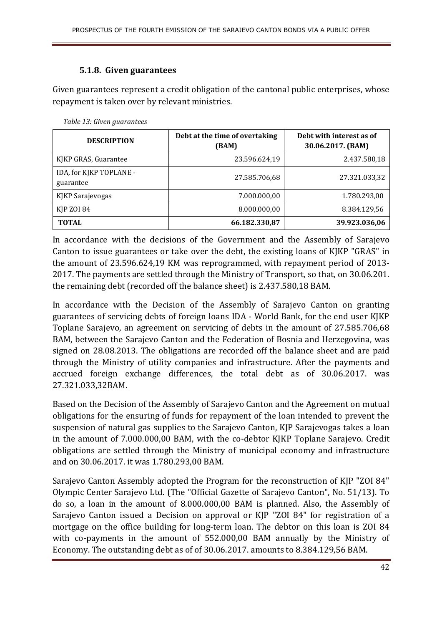#### **5.1.8. Given guarantees**

Given guarantees represent a credit obligation of the cantonal public enterprises, whose repayment is taken over by relevant ministries.

| <b>DESCRIPTION</b>                   | Debt at the time of overtaking<br>(BAM) | Debt with interest as of<br>30.06.2017. (BAM) |
|--------------------------------------|-----------------------------------------|-----------------------------------------------|
| KJKP GRAS, Guarantee                 | 23.596.624,19                           | 2.437.580,18                                  |
| IDA, for KJKP TOPLANE -<br>guarantee | 27.585.706,68                           | 27.321.033,32                                 |
| KJKP Sarajevogas                     | 7.000.000,00                            | 1.780.293,00                                  |
| <b>KJP ZOI 84</b>                    | 8.000.000,00                            | 8.384.129,56                                  |
| <b>TOTAL</b>                         | 66.182.330,87                           | 39.923.036,06                                 |

*Table 13: Given guarantees* 

In accordance with the decisions of the Government and the Assembly of Sarajevo Canton to issue guarantees or take over the debt, the existing loans of KJKP "GRAS" in the amount of 23.596.624,19 KM was reprogrammed, with repayment period of 2013- 2017. The payments are settled through the Ministry of Transport, so that, on 30.06.201. the remaining debt (recorded off the balance sheet) is 2.437.580,18 BAM.

In accordance with the Decision of the Assembly of Sarajevo Canton on granting guarantees of servicing debts of foreign loans IDA - World Bank, for the end user KJKP Toplane Sarajevo, an agreement on servicing of debts in the amount of 27.585.706,68 BAM, between the Sarajevo Canton and the Federation of Bosnia and Herzegovina, was signed on 28.08.2013. The obligations are recorded off the balance sheet and are paid through the Ministry of utility companies and infrastructure. After the payments and accrued foreign exchange differences, the total debt as of 30.06.2017. was 27.321.033,32BAM.

Based on the Decision of the Assembly of Sarajevo Canton and the Agreement on mutual obligations for the ensuring of funds for repayment of the loan intended to prevent the suspension of natural gas supplies to the Sarajevo Canton, KJP Sarajevogas takes a loan in the amount of 7.000.000,00 BAM, with the co-debtor KJKP Toplane Sarajevo. Credit obligations are settled through the Ministry of municipal economy and infrastructure and on 30.06.2017. it was 1.780.293,00 BAM.

Sarajevo Canton Assembly adopted the Program for the reconstruction of KJP "ZOI 84" Olympic Center Sarajevo Ltd. (The "Official Gazette of Sarajevo Canton", No. 51/13). To do so, a loan in the amount of 8.000.000,00 BAM is planned. Also, the Assembly of Sarajevo Canton issued a Decision on approval or KJP "ZOI 84" for registration of a mortgage on the office building for long-term loan. The debtor on this loan is ZOI 84 with co-payments in the amount of 552.000,00 BAM annually by the Ministry of Economy. The outstanding debt as of of 30.06.2017. amounts to 8.384.129,56 BAM.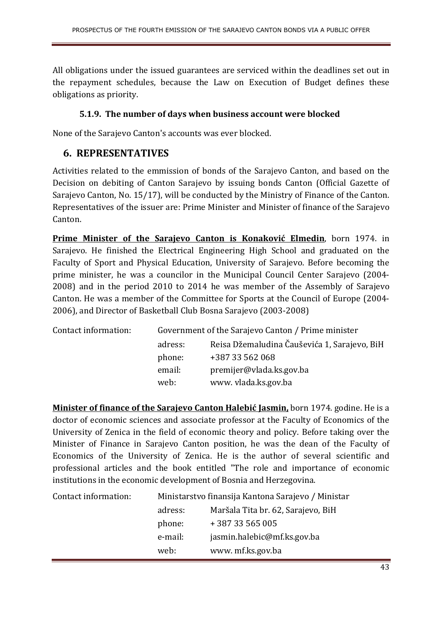All obligations under the issued guarantees are serviced within the deadlines set out in the repayment schedules, because the Law on Execution of Budget defines these obligations as priority.

#### **5.1.9. The number of days when business account were blocked**

None of the Sarajevo Canton's accounts was ever blocked.

## **6. REPRESENTATIVES**

Activities related to the emmission of bonds of the Sarajevo Canton, and based on the Decision on debiting of Canton Sarajevo by issuing bonds Canton (Official Gazette of Sarajevo Canton, No. 15/17), will be conducted by the Ministry of Finance of the Canton. Representatives of the issuer are: Prime Minister and Minister of finance of the Sarajevo Canton.

**Prime Minister of the Sarajevo Canton is Konaković Elmedin**, born 1974. in Sarajevo. He finished the Electrical Engineering High School and graduated on the Faculty of Sport and Physical Education, University of Sarajevo. Before becoming the prime minister, he was a councilor in the Municipal Council Center Sarajevo (2004- 2008) and in the period 2010 to 2014 he was member of the Assembly of Sarajevo Canton. He was a member of the Committee for Sports at the Council of Europe (2004- 2006), and Director of Basketball Club Bosna Sarajevo (2003-2008)

| Contact information: |         | Government of the Sarajevo Canton / Prime minister |
|----------------------|---------|----------------------------------------------------|
|                      | adress: | Reisa Džemaludina Čauševića 1, Sarajevo, BiH       |
|                      | phone:  | +387 33 562 068                                    |
|                      | email:  | premijer@vlada.ks.gov.ba                           |
|                      | web:    | www. ylada.ks.gov.ba                               |

**Minister of finance of the Sarajevo Canton Halebić Jasmin,** born 1974. godine. He is a doctor of economic sciences and associate professor at the Faculty of Economics of the University of Zenica in the field of economic theory and policy. Before taking over the Minister of Finance in Sarajevo Canton position, he was the dean of the Faculty of Economics of the University of Zenica. He is the author of several scientific and professional articles and the book entitled "The role and importance of economic institutions in the economic development of Bosnia and Herzegovina.

| Contact information: | Ministarstvo finansija Kantona Sarajevo / Ministar |                                    |
|----------------------|----------------------------------------------------|------------------------------------|
|                      | adress:                                            | Maršala Tita br. 62, Sarajevo, BiH |
|                      | phone:                                             | +38733565005                       |
|                      | e-mail:                                            | jasmin.halebic@mf.ks.gov.ba        |
|                      | web:                                               | www. mf.ks.gov.ba                  |
|                      |                                                    |                                    |